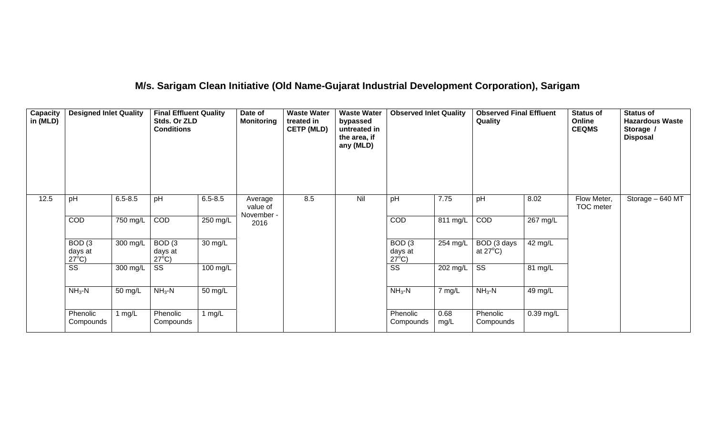# **M/s. Sarigam Clean Initiative (Old Name-Gujarat Industrial Development Corporation), Sarigam**

| <b>Capacity</b><br>in (MLD) | <b>Designed Inlet Quality</b>                   |             | <b>Final Effluent Quality</b><br>Stds. Or ZLD<br><b>Conditions</b> |             | Date of<br><b>Monitoring</b> | <b>Waste Water</b><br>treated in<br><b>CETP (MLD)</b> | <b>Waste Water</b><br>bypassed<br>untreated in<br>the area, if<br>any (MLD) | <b>Observed Inlet Quality</b>                   |              | <b>Observed Final Effluent</b><br>Quality |             | <b>Status of</b><br>Online<br><b>CEQMS</b> | <b>Status of</b><br><b>Hazardous Waste</b><br>Storage /<br><b>Disposal</b> |
|-----------------------------|-------------------------------------------------|-------------|--------------------------------------------------------------------|-------------|------------------------------|-------------------------------------------------------|-----------------------------------------------------------------------------|-------------------------------------------------|--------------|-------------------------------------------|-------------|--------------------------------------------|----------------------------------------------------------------------------|
| 12.5                        | pH                                              | $6.5 - 8.5$ | pH                                                                 | $6.5 - 8.5$ | Average<br>value of          | 8.5                                                   | Nil                                                                         | pH                                              | 7.75         | pH                                        | 8.02        | Flow Meter,<br>TOC meter                   | Storage - 640 MT                                                           |
|                             | COD                                             | 750 mg/L    | COD                                                                | 250 mg/L    | November -<br>2016           |                                                       |                                                                             | COD                                             | 811 mg/L     | COD                                       | 267 mg/L    |                                            |                                                                            |
|                             | BOD <sub>(3</sub><br>days at<br>$27^{\circ}$ C) | 300 mg/L    | BOD <sub>(3</sub><br>days at<br>$27^{\circ}$ C)                    | 30 mg/L     |                              |                                                       |                                                                             | BOD <sub>(3</sub><br>days at<br>$27^{\circ}$ C) | $254$ mg/L   | BOD (3 days<br>at $27^{\circ}$ C)         | 42 mg/L     |                                            |                                                                            |
|                             | $\overline{\text{ss}}$                          | 300 mg/L    | SS                                                                 | 100 mg/L    |                              |                                                       |                                                                             | $\overline{\text{ss}}$                          | 202 mg/L     | $\overline{\text{SS}}$                    | 81 mg/L     |                                            |                                                                            |
|                             | $NH3-N$                                         | 50 mg/L     | $NH3-N$                                                            | 50 mg/L     |                              |                                                       |                                                                             | $NH3-N$                                         | 7 mg/L       | $NH3-N$                                   | 49 mg/L     |                                            |                                                                            |
|                             | Phenolic<br>Compounds                           | 1 $mg/L$    | Phenolic<br>Compounds                                              | 1 $mg/L$    |                              |                                                       |                                                                             | Phenolic<br>Compounds                           | 0.68<br>mg/L | Phenolic<br>Compounds                     | $0.39$ mg/L |                                            |                                                                            |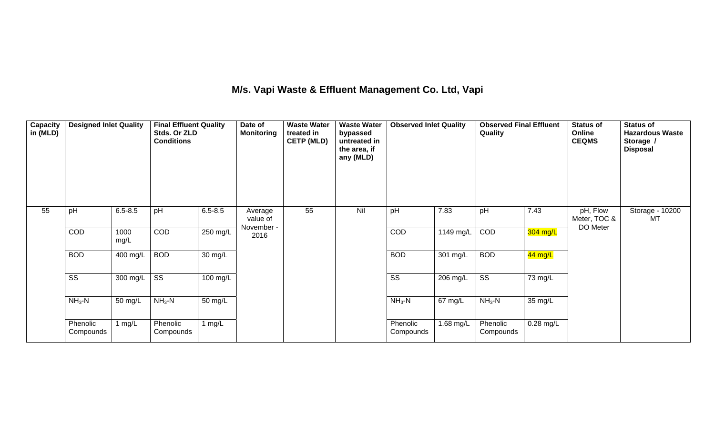### **M/s. Vapi Waste & Effluent Management Co. Ltd, Vapi**

| <b>Capacity</b><br>in (MLD) | <b>Designed Inlet Quality</b> |              | <b>Final Effluent Quality</b><br>Stds. Or ZLD<br><b>Conditions</b> |             | Date of<br><b>Monitoring</b> | <b>Waste Water</b><br>treated in<br><b>CETP (MLD)</b> | <b>Waste Water</b><br>bypassed<br>untreated in<br>the area, if<br>any (MLD) | <b>Observed Inlet Quality</b> |           | <b>Observed Final Effluent</b><br>Quality |             | <b>Status of</b><br>Online<br><b>CEQMS</b> | <b>Status of</b><br><b>Hazardous Waste</b><br>Storage /<br><b>Disposal</b> |
|-----------------------------|-------------------------------|--------------|--------------------------------------------------------------------|-------------|------------------------------|-------------------------------------------------------|-----------------------------------------------------------------------------|-------------------------------|-----------|-------------------------------------------|-------------|--------------------------------------------|----------------------------------------------------------------------------|
| 55                          | pH                            | $6.5 - 8.5$  | pH                                                                 | $6.5 - 8.5$ | Average<br>value of          | 55                                                    | Nil                                                                         | pH                            | 7.83      | pH                                        | 7.43        | pH, Flow<br>Meter, TOC &<br>DO Meter       | Storage - 10200<br>MT                                                      |
|                             | COD                           | 1000<br>mg/L | COD                                                                | 250 mg/L    | November -<br>2016           |                                                       |                                                                             | COD                           | 1149 mg/L | COD                                       | $304$ mg/L  |                                            |                                                                            |
|                             | <b>BOD</b>                    | 400 mg/L     | <b>BOD</b>                                                         | 30 mg/L     |                              |                                                       |                                                                             | <b>BOD</b>                    | 301 mg/L  | <b>BOD</b>                                | 44 mg/L     |                                            |                                                                            |
|                             | $\overline{\text{ss}}$        | 300 mg/L     | $\overline{\text{SS}}$                                             | 100 mg/L    |                              |                                                       |                                                                             | $\overline{\text{ss}}$        | 206 mg/L  | $\overline{\text{ss}}$                    | 73 mg/L     |                                            |                                                                            |
|                             | $NH3 - N$                     | 50 mg/L      | $NH3-N$                                                            | 50 mg/L     |                              |                                                       |                                                                             | $NH3-N$                       | 67 mg/L   | $NH3-N$                                   | 35 mg/L     |                                            |                                                                            |
|                             | Phenolic<br>Compounds         | 1 $mg/L$     | Phenolic<br>Compounds                                              | 1 $mg/L$    |                              |                                                       |                                                                             | Phenolic<br>Compounds         | 1.68 mg/L | Phenolic<br>Compounds                     | $0.28$ mg/L |                                            |                                                                            |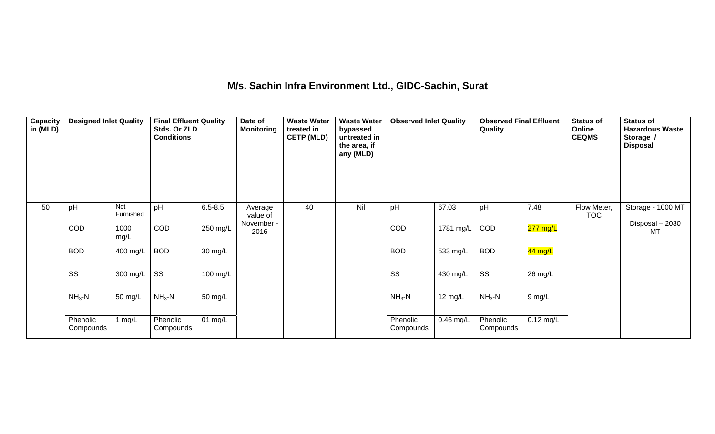## **M/s. Sachin Infra Environment Ltd., GIDC-Sachin, Surat**

| Capacity<br>in (MLD) | <b>Designed Inlet Quality</b> |                  | <b>Final Effluent Quality</b><br>Stds. Or ZLD<br><b>Conditions</b> |                   | Date of<br><b>Monitoring</b> | <b>Waste Water</b><br>treated in<br><b>CETP (MLD)</b> | <b>Waste Water</b><br>bypassed<br>untreated in<br>the area, if<br>any (MLD) | <b>Observed Inlet Quality</b> |                   | <b>Observed Final Effluent</b><br>Quality |             | <b>Status of</b><br>Online<br><b>CEQMS</b> | <b>Status of</b><br><b>Hazardous Waste</b><br>Storage /<br><b>Disposal</b> |
|----------------------|-------------------------------|------------------|--------------------------------------------------------------------|-------------------|------------------------------|-------------------------------------------------------|-----------------------------------------------------------------------------|-------------------------------|-------------------|-------------------------------------------|-------------|--------------------------------------------|----------------------------------------------------------------------------|
| 50                   | pH                            | Not<br>Furnished | pH                                                                 | $6.5 - 8.5$       | Average<br>value of          | 40                                                    | Nil                                                                         | pH                            | 67.03             | pH                                        | 7.48        | Flow Meter,<br><b>TOC</b>                  | Storage - 1000 MT<br>Disposal - 2030                                       |
|                      | COD                           | 1000<br>mg/L     | COD                                                                | 250 mg/L          | November -<br>2016           |                                                       |                                                                             | COD                           | $1781$ mg/L       | COD                                       | $277$ mg/L  |                                            | MT                                                                         |
|                      | <b>BOD</b>                    | 400 mg/L         | <b>BOD</b>                                                         | 30 mg/L           |                              |                                                       |                                                                             | <b>BOD</b>                    | 533 mg/L          | <b>BOD</b>                                | 44 mg/L     |                                            |                                                                            |
|                      | SS                            | 300 mg/L         | $\overline{\text{SS}}$                                             | 100 mg/L          |                              |                                                       |                                                                             | $\overline{\text{ss}}$        | 430 mg/L          | $\overline{\text{ss}}$                    | 26 mg/L     |                                            |                                                                            |
|                      | $NH3-N$                       | 50 mg/L          | $NH3-N$                                                            | 50 mg/L           |                              |                                                       |                                                                             | $NH3-N$                       | $12 \text{ mg/L}$ | $NH3-N$                                   | $9$ mg/L    |                                            |                                                                            |
|                      | Phenolic<br>Compounds         | 1 mg/L           | Phenolic<br>Compounds                                              | $01 \text{ mg/L}$ |                              |                                                       |                                                                             | Phenolic<br>Compounds         | $0.46$ mg/L       | Phenolic<br>Compounds                     | $0.12$ mg/L |                                            |                                                                            |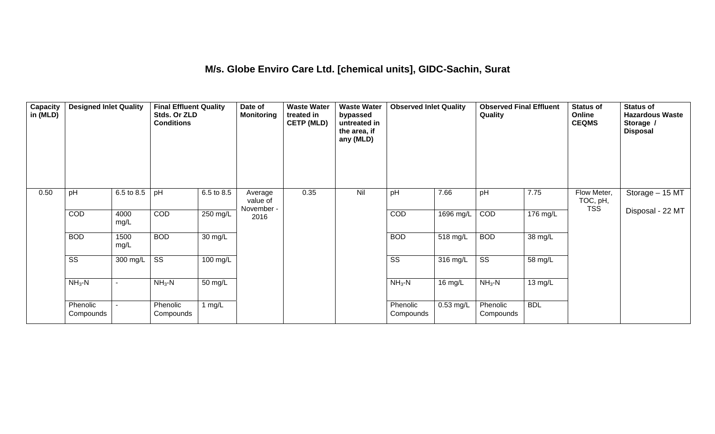### **M/s. Globe Enviro Care Ltd. [chemical units], GIDC-Sachin, Surat**

| Capacity<br>in (MLD) | <b>Designed Inlet Quality</b> |              | <b>Final Effluent Quality</b><br>Stds. Or ZLD<br><b>Conditions</b> |                    | Date of<br>Monitoring             | <b>Waste Water</b><br>treated in<br><b>CETP (MLD)</b> | <b>Waste Water</b><br>bypassed<br>untreated in<br>the area, if<br>any (MLD) | <b>Observed Inlet Quality</b> |             | <b>Observed Final Effluent</b><br>Quality |                   | <b>Status of</b><br>Online<br><b>CEQMS</b> | <b>Status of</b><br><b>Hazardous Waste</b><br>Storage /<br><b>Disposal</b> |
|----------------------|-------------------------------|--------------|--------------------------------------------------------------------|--------------------|-----------------------------------|-------------------------------------------------------|-----------------------------------------------------------------------------|-------------------------------|-------------|-------------------------------------------|-------------------|--------------------------------------------|----------------------------------------------------------------------------|
| 0.50                 | pH                            | 6.5 to 8.5   | pH                                                                 | 6.5 to 8.5         | Average<br>value of<br>November - | 0.35                                                  | Nil                                                                         | pH                            | 7.66        | pH                                        | 7.75              | Flow Meter,<br>TOC, pH,<br><b>TSS</b>      | Storage - 15 MT                                                            |
|                      | COD                           | 4000<br>mg/L | COD                                                                | 250 mg/L           | 2016                              |                                                       |                                                                             | COD                           | 1696 mg/L   | COD                                       | $176$ mg/L        |                                            | Disposal - 22 MT                                                           |
|                      | <b>BOD</b>                    | 1500<br>mg/L | <b>BOD</b>                                                         | 30 mg/L            |                                   |                                                       |                                                                             | <b>BOD</b>                    | 518 mg/L    | <b>BOD</b>                                | 38 mg/L           |                                            |                                                                            |
|                      | $\overline{\text{ss}}$        | 300 mg/L     | $\overline{\text{SS}}$                                             | $100 \text{ mg/L}$ |                                   |                                                       |                                                                             | $\overline{\text{ss}}$        | 316 mg/L    | $\overline{\text{ss}}$                    | 58 mg/L           |                                            |                                                                            |
|                      | $NH3-N$                       |              | $NH3-N$                                                            | 50 mg/L            |                                   |                                                       |                                                                             | $NH3-N$                       | 16 mg/L     | $NH3-N$                                   | $13 \text{ mg/L}$ |                                            |                                                                            |
|                      | Phenolic<br>Compounds         |              | Phenolic<br>Compounds                                              | 1 $mg/L$           |                                   |                                                       |                                                                             | Phenolic<br>Compounds         | $0.53$ mg/L | Phenolic<br>Compounds                     | <b>BDL</b>        |                                            |                                                                            |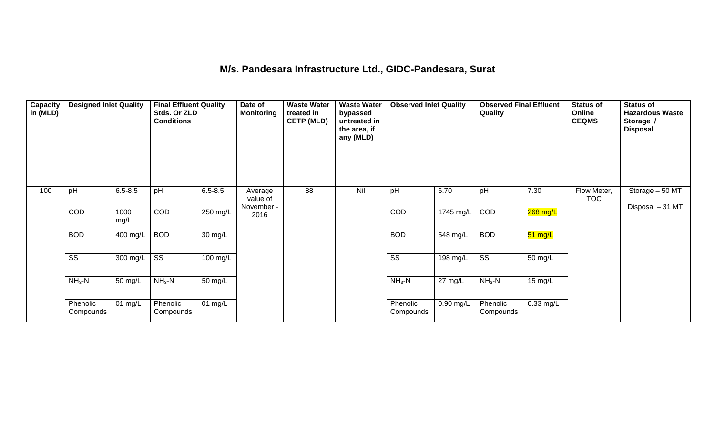## **M/s. Pandesara Infrastructure Ltd., GIDC-Pandesara, Surat**

| Capacity<br>in (MLD) | <b>Designed Inlet Quality</b> |              | <b>Final Effluent Quality</b><br>Stds. Or ZLD<br><b>Conditions</b> |             | Date of<br><b>Monitoring</b> | <b>Waste Water</b><br>treated in<br><b>CETP (MLD)</b> | <b>Waste Water</b><br>bypassed<br>untreated in<br>the area, if<br>any (MLD) | <b>Observed Inlet Quality</b> |           | <b>Observed Final Effluent</b><br>Quality |           | <b>Status of</b><br>Online<br><b>CEQMS</b> | <b>Status of</b><br><b>Hazardous Waste</b><br>Storage /<br><b>Disposal</b> |
|----------------------|-------------------------------|--------------|--------------------------------------------------------------------|-------------|------------------------------|-------------------------------------------------------|-----------------------------------------------------------------------------|-------------------------------|-----------|-------------------------------------------|-----------|--------------------------------------------|----------------------------------------------------------------------------|
| 100                  | pH                            | $6.5 - 8.5$  | pH                                                                 | $6.5 - 8.5$ | Average<br>value of          | 88                                                    | Nil                                                                         | pH                            | 6.70      | pH                                        | 7.30      | Flow Meter,<br><b>TOC</b>                  | Storage - 50 MT                                                            |
|                      | COD                           | 1000<br>mg/L | COD                                                                | $250$ mg/L  | November -<br>2016           |                                                       |                                                                             | COD                           | 1745 mg/L | COD                                       | 268 mg/L  |                                            | Disposal - 31 MT                                                           |
|                      | <b>BOD</b>                    | 400 mg/L     | <b>BOD</b>                                                         | 30 mg/L     |                              |                                                       |                                                                             | <b>BOD</b>                    | 548 mg/L  | <b>BOD</b>                                | 51 mg/L   |                                            |                                                                            |
|                      | $\overline{\text{SS}}$        | 300 mg/L     | $\overline{\text{SS}}$                                             | 100 mg/L    |                              |                                                       |                                                                             | $\overline{\text{SS}}$        | 198 mg/L  | $\overline{\text{ss}}$                    | 50 mg/L   |                                            |                                                                            |
|                      | $NH3-N$                       | 50 mg/L      | $NH3-N$                                                            | 50 mg/L     |                              |                                                       |                                                                             | $NH3-N$                       | 27 mg/L   | $NH3-N$                                   | 15 mg/L   |                                            |                                                                            |
|                      | Phenolic<br>Compounds         | 01 $mg/L$    | Phenolic<br>Compounds                                              | 01 $mg/L$   |                              |                                                       |                                                                             | Phenolic<br>Compounds         | 0.90 mg/L | Phenolic<br>Compounds                     | 0.33 mg/L |                                            |                                                                            |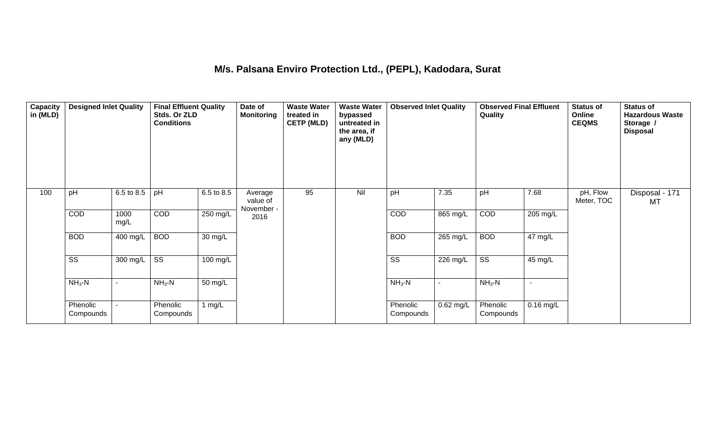### **M/s. Palsana Enviro Protection Ltd., (PEPL), Kadodara, Surat**

| Capacity<br>in (MLD) | <b>Designed Inlet Quality</b> |              | <b>Final Effluent Quality</b><br>Stds. Or ZLD<br><b>Conditions</b> |                    | Date of<br><b>Monitoring</b>      | <b>Waste Water</b><br>treated in<br><b>CETP (MLD)</b> | <b>Waste Water</b><br>bypassed<br>untreated in<br>the area, if<br>any (MLD) | <b>Observed Inlet Quality</b> |                       | <b>Observed Final Effluent</b><br>Quality |                          | <b>Status of</b><br>Online<br><b>CEQMS</b> | <b>Status of</b><br><b>Hazardous Waste</b><br>Storage /<br><b>Disposal</b> |
|----------------------|-------------------------------|--------------|--------------------------------------------------------------------|--------------------|-----------------------------------|-------------------------------------------------------|-----------------------------------------------------------------------------|-------------------------------|-----------------------|-------------------------------------------|--------------------------|--------------------------------------------|----------------------------------------------------------------------------|
| 100                  | pH                            | 6.5 to 8.5   | pH                                                                 | 6.5 to 8.5         | Average<br>value of<br>November - | 95                                                    | Nil                                                                         | pH                            | 7.35                  | pH                                        | 7.68                     | pH, Flow<br>Meter, TOC                     | Disposal - 171<br>MT                                                       |
|                      | COD                           | 1000<br>mg/L | COD                                                                | 250 mg/L           | 2016                              |                                                       |                                                                             | COD                           | 865 mg/L              | COD                                       | 205 mg/L                 |                                            |                                                                            |
|                      | <b>BOD</b>                    | 400 mg/L     | <b>BOD</b>                                                         | 30 mg/L            |                                   |                                                       |                                                                             | <b>BOD</b>                    | $265 \text{ mg/L}$    | <b>BOD</b>                                | 47 mg/L                  |                                            |                                                                            |
|                      | $\overline{\text{SS}}$        | 300 mg/L     | $\overline{\text{ss}}$                                             | $100 \text{ mg/L}$ |                                   |                                                       |                                                                             | $\overline{\text{SS}}$        | $\overline{226}$ mg/L | $\overline{\text{ss}}$                    | 45 mg/L                  |                                            |                                                                            |
|                      | $NH3-N$                       |              | $NH3 - N$                                                          | 50 mg/L            |                                   |                                                       |                                                                             | $NH3-N$                       | $\blacksquare$        | $NH3$ -N                                  | $\overline{\phantom{a}}$ |                                            |                                                                            |
|                      | Phenolic<br>Compounds         |              | Phenolic<br>Compounds                                              | 1 $mg/L$           |                                   |                                                       |                                                                             | Phenolic<br>Compounds         | 0.62 mg/L             | Phenolic<br>Compounds                     | $0.16$ mg/L              |                                            |                                                                            |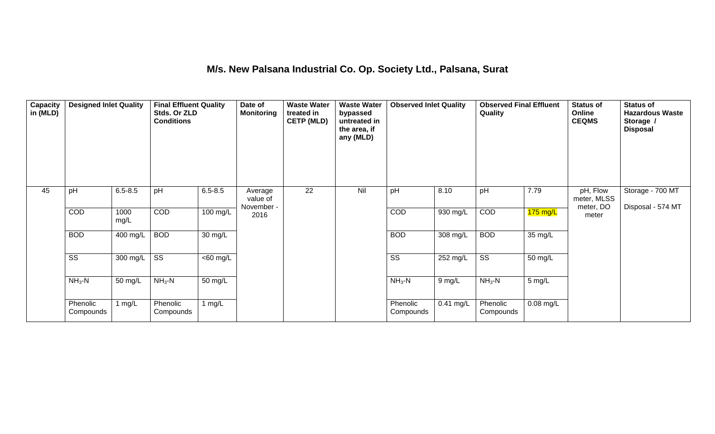### **M/s. New Palsana Industrial Co. Op. Society Ltd., Palsana, Surat**

| Capacity<br>in (MLD) | <b>Designed Inlet Quality</b> |              | <b>Final Effluent Quality</b><br>Stds. Or ZLD<br><b>Conditions</b> |                       | Date of<br><b>Monitoring</b>      | <b>Waste Water</b><br>treated in<br><b>CETP (MLD)</b> | <b>Waste Water</b><br>bypassed<br>untreated in<br>the area, if<br>any (MLD) | <b>Observed Inlet Quality</b> |                    | <b>Observed Final Effluent</b><br>Quality |             | <b>Status of</b><br>Online<br><b>CEQMS</b> | <b>Status of</b><br><b>Hazardous Waste</b><br>Storage /<br><b>Disposal</b> |
|----------------------|-------------------------------|--------------|--------------------------------------------------------------------|-----------------------|-----------------------------------|-------------------------------------------------------|-----------------------------------------------------------------------------|-------------------------------|--------------------|-------------------------------------------|-------------|--------------------------------------------|----------------------------------------------------------------------------|
| 45                   | pH                            | $6.5 - 8.5$  | pH                                                                 | $6.5 - 8.5$           | Average<br>value of<br>November - | 22                                                    | Nil                                                                         | pH                            | 8.10               | pH                                        | 7.79        | pH, Flow<br>meter, MLSS<br>meter, DO       | Storage - 700 MT<br>Disposal - 574 MT                                      |
|                      | COD                           | 1000<br>mg/L | COD                                                                | 100 mg/L              | 2016                              |                                                       |                                                                             | COD                           | 930 mg/L           | COD                                       | $175$ mg/L  | meter                                      |                                                                            |
|                      | <b>BOD</b>                    | 400 mg/L     | <b>BOD</b>                                                         | $\overline{30}$ mg/L  |                                   |                                                       |                                                                             | <b>BOD</b>                    | 308 mg/L           | <b>BOD</b>                                | 35 mg/L     |                                            |                                                                            |
|                      | $\overline{\text{SS}}$        | 300 mg/L     | $\overline{\text{SS}}$                                             | $\overline{<}60$ mg/L |                                   |                                                       |                                                                             | $\overline{\text{SS}}$        | $252 \text{ mg/L}$ | $\overline{\text{SS}}$                    | 50 mg/L     |                                            |                                                                            |
|                      | $NH3-N$                       | 50 mg/L      | $NH3-N$                                                            | 50 mg/L               |                                   |                                                       |                                                                             | $NH3-N$                       | $9$ mg/L           | $NH3-N$                                   | 5 mg/L      |                                            |                                                                            |
|                      | Phenolic<br>Compounds         | 1 $mg/L$     | Phenolic<br>Compounds                                              | 1 $mg/L$              |                                   |                                                       |                                                                             | Phenolic<br>Compounds         | $0.41$ mg/L        | Phenolic<br>Compounds                     | $0.08$ mg/L |                                            |                                                                            |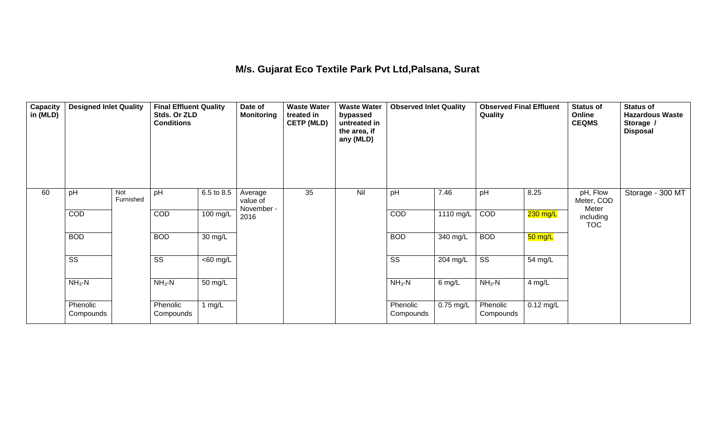### **M/s. Gujarat Eco Textile Park Pvt Ltd,Palsana, Surat**

| Capacity<br>in (MLD) | <b>Designed Inlet Quality</b> |                  | <b>Final Effluent Quality</b><br>Stds. Or ZLD<br><b>Conditions</b> |            | Date of<br><b>Monitoring</b>      | <b>Waste Water</b><br>treated in<br><b>CETP (MLD)</b> | <b>Waste Water</b><br>bypassed<br>untreated in<br>the area, if<br>any (MLD) | <b>Observed Inlet Quality</b> |             | <b>Observed Final Effluent</b><br>Quality |             | <b>Status of</b><br>Online<br><b>CEQMS</b> | <b>Status of</b><br><b>Hazardous Waste</b><br>Storage /<br><b>Disposal</b> |
|----------------------|-------------------------------|------------------|--------------------------------------------------------------------|------------|-----------------------------------|-------------------------------------------------------|-----------------------------------------------------------------------------|-------------------------------|-------------|-------------------------------------------|-------------|--------------------------------------------|----------------------------------------------------------------------------|
| 60                   | pH                            | Not<br>Furnished | pH                                                                 | 6.5 to 8.5 | Average<br>value of<br>November - | 35                                                    | Nil                                                                         | pH                            | 7.46        | pH                                        | 8.25        | pH, Flow<br>Meter, COD<br>Meter            | Storage - 300 MT                                                           |
|                      | COD                           |                  | COD                                                                | 100 mg/L   | 2016                              |                                                       |                                                                             | COD                           | 1110 mg/L   | COD                                       | $230$ mg/L  | including<br><b>TOC</b>                    |                                                                            |
|                      | <b>BOD</b>                    |                  | <b>BOD</b>                                                         | 30 mg/L    |                                   |                                                       |                                                                             | <b>BOD</b>                    | 340 mg/L    | <b>BOD</b>                                | $50$ mg/L   |                                            |                                                                            |
|                      | $\overline{\text{SS}}$        |                  | $\overline{\text{SS}}$                                             | $60$ mg/L  |                                   |                                                       |                                                                             | $\overline{\text{SS}}$        | 204 mg/L    | $\overline{\text{ss}}$                    | 54 mg/L     |                                            |                                                                            |
|                      | $NH3-N$                       |                  | $NH3-N$                                                            | 50 mg/L    |                                   |                                                       |                                                                             | $NH3-N$                       | 6 mg/L      | $NH3-N$                                   | 4 mg/L      |                                            |                                                                            |
|                      | Phenolic<br>Compounds         |                  | Phenolic<br>Compounds                                              | 1 mg/L     |                                   |                                                       |                                                                             | Phenolic<br>Compounds         | $0.75$ mg/L | Phenolic<br>Compounds                     | $0.12$ mg/L |                                            |                                                                            |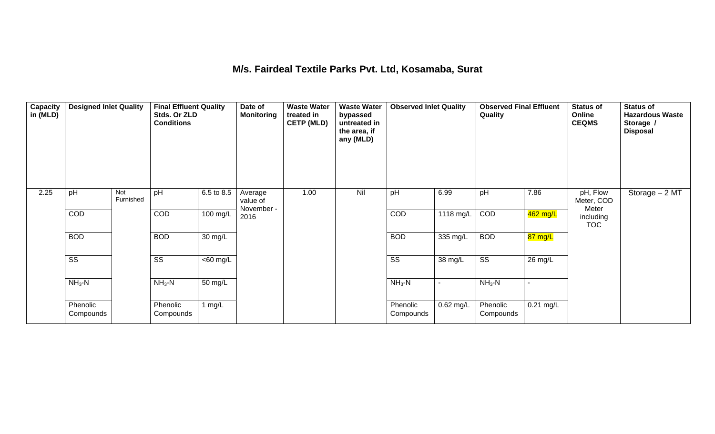#### **M/s. Fairdeal Textile Parks Pvt. Ltd, Kosamaba, Surat**

| Capacity<br>in (MLD) | <b>Designed Inlet Quality</b> |                  | <b>Final Effluent Quality</b><br>Stds. Or ZLD<br><b>Conditions</b> |             | Date of<br>Monitoring             | <b>Waste Water</b><br>treated in<br><b>CETP (MLD)</b> | <b>Waste Water</b><br>bypassed<br>untreated in<br>the area, if<br>any (MLD) | <b>Observed Inlet Quality</b> |             | <b>Observed Final Effluent</b><br>Quality |             | <b>Status of</b><br>Online<br><b>CEQMS</b> | <b>Status of</b><br><b>Hazardous Waste</b><br>Storage /<br><b>Disposal</b> |
|----------------------|-------------------------------|------------------|--------------------------------------------------------------------|-------------|-----------------------------------|-------------------------------------------------------|-----------------------------------------------------------------------------|-------------------------------|-------------|-------------------------------------------|-------------|--------------------------------------------|----------------------------------------------------------------------------|
| 2.25                 | pH                            | Not<br>Furnished | pH                                                                 | 6.5 to 8.5  | Average<br>value of<br>November - | 1.00                                                  | Nil                                                                         | pH                            | 6.99        | pH                                        | 7.86        | pH, Flow<br>Meter, COD<br>Meter            | Storage - 2 MT                                                             |
|                      | COD                           |                  | COD                                                                | 100 mg/L    | 2016                              |                                                       |                                                                             | COD                           | 1118 mg/L   | COD                                       | $462$ mg/L  | including<br><b>TOC</b>                    |                                                                            |
|                      | <b>BOD</b>                    |                  | <b>BOD</b>                                                         | 30 mg/L     |                                   |                                                       |                                                                             | <b>BOD</b>                    | 335 mg/L    | <b>BOD</b>                                | 87 mg/L     |                                            |                                                                            |
|                      | $\overline{\text{ss}}$        |                  | $\overline{\text{ss}}$                                             | $<$ 60 mg/L |                                   |                                                       |                                                                             | $\overline{\text{ss}}$        | 38 mg/L     | $\overline{\text{ss}}$                    | 26 mg/L     |                                            |                                                                            |
|                      | $NH3-N$                       |                  | $NH3-N$                                                            | 50 mg/L     |                                   |                                                       |                                                                             | $NH3-N$                       | $\sim$      | $NH3-N$                                   | $\sim$      |                                            |                                                                            |
|                      | Phenolic<br>Compounds         |                  | Phenolic<br>Compounds                                              | 1 $mg/L$    |                                   |                                                       |                                                                             | Phenolic<br>Compounds         | $0.62$ mg/L | Phenolic<br>Compounds                     | $0.21$ mg/L |                                            |                                                                            |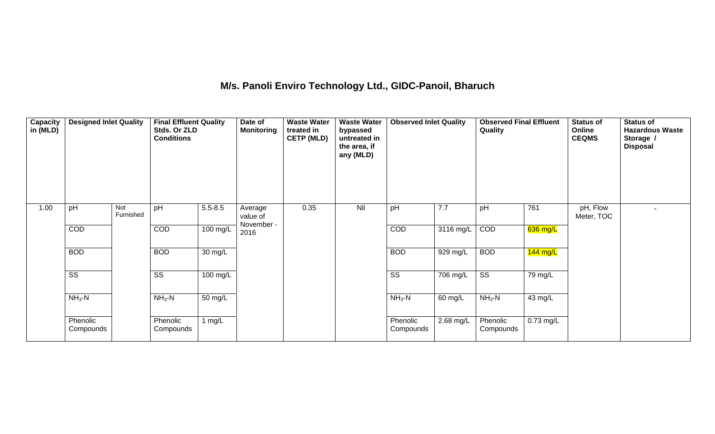# **M/s. Panoli Enviro Technology Ltd., GIDC-Panoil, Bharuch**

| <b>Capacity</b><br>in (MLD) | <b>Designed Inlet Quality</b> |                  | <b>Final Effluent Quality</b><br>Stds. Or ZLD<br><b>Conditions</b> |             | Date of<br><b>Monitoring</b> | <b>Waste Water</b><br>treated in<br><b>CETP (MLD)</b> | <b>Waste Water</b><br>bypassed<br>untreated in<br>the area, if<br>any (MLD) | <b>Observed Inlet Quality</b> |                       | <b>Observed Final Effluent</b><br>Quality |             | <b>Status of</b><br>Online<br><b>CEQMS</b> | <b>Status of</b><br><b>Hazardous Waste</b><br>Storage /<br><b>Disposal</b> |
|-----------------------------|-------------------------------|------------------|--------------------------------------------------------------------|-------------|------------------------------|-------------------------------------------------------|-----------------------------------------------------------------------------|-------------------------------|-----------------------|-------------------------------------------|-------------|--------------------------------------------|----------------------------------------------------------------------------|
| 1.00                        | pH                            | Not<br>Furnished | pH                                                                 | $5.5 - 8.5$ | Average<br>value of          | 0.35                                                  | Nil                                                                         | pH                            | 7.7                   | pH                                        | 761         | pH, Flow<br>Meter, TOC                     | $\overline{\phantom{a}}$                                                   |
|                             | COD                           |                  | <b>COD</b>                                                         | 100 mg/L    | November -<br>2016           |                                                       |                                                                             | COD                           | $3116$ mg/L           | COD                                       | 636 mg/L    |                                            |                                                                            |
|                             | <b>BOD</b>                    |                  | <b>BOD</b>                                                         | 30 mg/L     |                              |                                                       |                                                                             | <b>BOD</b>                    | $\overline{929}$ mg/L | <b>BOD</b>                                | $144$ mg/L  |                                            |                                                                            |
|                             | $\overline{\text{SS}}$        |                  | $\overline{\text{SS}}$                                             | 100 mg/L    |                              |                                                       |                                                                             | $\overline{\text{SS}}$        | 706 mg/L              | $\overline{\text{SS}}$                    | 79 mg/L     |                                            |                                                                            |
|                             | $NH3-N$                       |                  | $NH3$ -N                                                           | 50 mg/L     |                              |                                                       |                                                                             | $NH3-N$                       | 60 mg/L               | $NH3 - N$                                 | 43 mg/L     |                                            |                                                                            |
|                             | Phenolic<br>Compounds         |                  | Phenolic<br>Compounds                                              | 1 $mg/L$    |                              |                                                       |                                                                             | Phenolic<br>Compounds         | 2.68 mg/L             | Phenolic<br>Compounds                     | $0.73$ mg/L |                                            |                                                                            |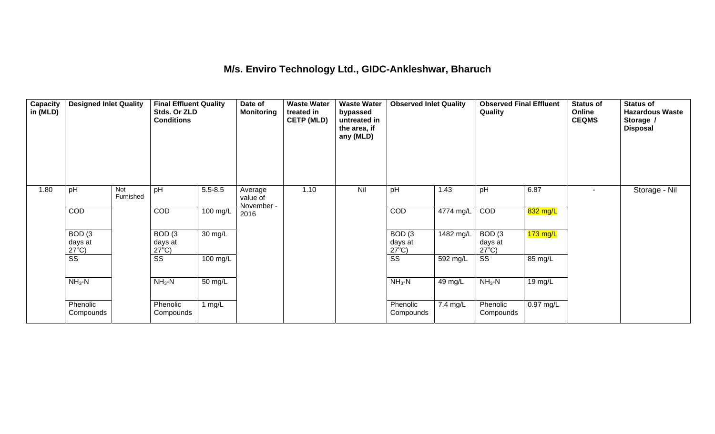#### **M/s. Enviro Technology Ltd., GIDC-Ankleshwar, Bharuch**

| Capacity<br>in (MLD) | <b>Designed Inlet Quality</b>        |                  | <b>Final Effluent Quality</b><br>Stds. Or ZLD<br><b>Conditions</b> |                   | Date of<br><b>Monitoring</b>      | <b>Waste Water</b><br>treated in<br><b>CETP (MLD)</b> | <b>Waste Water</b><br>bypassed<br>untreated in<br>the area, if<br>any (MLD) | <b>Observed Inlet Quality</b>        |           | <b>Observed Final Effluent</b><br>Quality |            | <b>Status of</b><br>Online<br><b>CEQMS</b> | <b>Status of</b><br><b>Hazardous Waste</b><br>Storage /<br><b>Disposal</b> |
|----------------------|--------------------------------------|------------------|--------------------------------------------------------------------|-------------------|-----------------------------------|-------------------------------------------------------|-----------------------------------------------------------------------------|--------------------------------------|-----------|-------------------------------------------|------------|--------------------------------------------|----------------------------------------------------------------------------|
| 1.80                 | pH                                   | Not<br>Furnished | pH                                                                 | $5.5 - 8.5$       | Average<br>value of<br>November - | 1.10                                                  | Nil                                                                         | pH                                   | 1.43      | pH                                        | 6.87       |                                            | Storage - Nil                                                              |
|                      | COD                                  |                  | COD                                                                | 100 mg/L          | 2016                              |                                                       |                                                                             | COD                                  | 4774 mg/L | COD                                       | 832 mg/L   |                                            |                                                                            |
|                      | BOD(3)<br>days at<br>$27^{\circ}$ C) |                  | BOD <sub>(3</sub><br>days at<br>$27^{\circ}$ C)                    | $30 \text{ mg/L}$ |                                   |                                                       |                                                                             | BOD(3)<br>days at<br>$27^{\circ}$ C) | 1482 mg/L | BOD(3)<br>days at<br>$27^{\circ}$ C)      | $173$ mg/L |                                            |                                                                            |
|                      | $\overline{\text{ss}}$               |                  | $\overline{\text{SS}}$                                             | 100 mg/L          |                                   |                                                       |                                                                             | $\overline{\text{ss}}$               | 592 mg/L  | $\overline{\text{SS}}$                    | 85 mg/L    |                                            |                                                                            |
|                      | $NH3-N$                              |                  | $NH3-N$                                                            | 50 mg/L           |                                   |                                                       |                                                                             | $NH3-N$                              | 49 mg/L   | $NH3-N$                                   | 19 mg/L    |                                            |                                                                            |
|                      | Phenolic<br>Compounds                |                  | Phenolic<br>Compounds                                              | 1 mg/L            |                                   |                                                       |                                                                             | Phenolic<br>Compounds                | 7.4 mg/L  | Phenolic<br>Compounds                     | 0.97 mg/L  |                                            |                                                                            |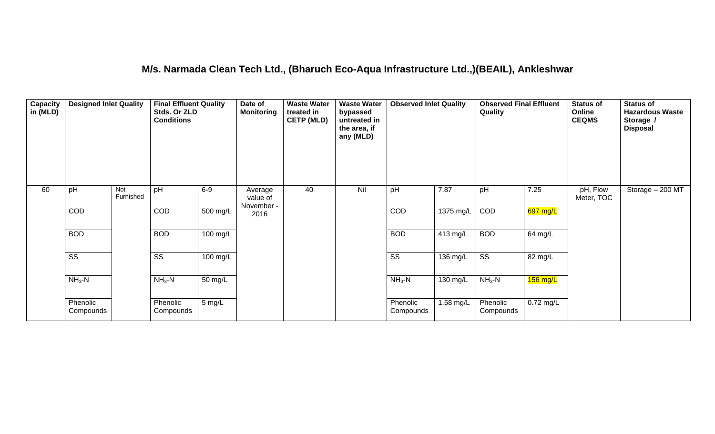### **M/s. Narmada Clean Tech Ltd., (Bharuch Eco-Aqua Infrastructure Ltd.,)(BEAIL), Ankleshwar**

| Capacity<br>in (MLD) | <b>Designed Inlet Quality</b> |                  | <b>Final Effluent Quality</b><br>Stds. Or ZLD<br><b>Conditions</b> |                      | Date of<br><b>Monitoring</b>      | <b>Waste Water</b><br>treated in<br><b>CETP (MLD)</b> | <b>Waste Water</b><br>bypassed<br>untreated in<br>the area, if<br>any (MLD) | <b>Observed Inlet Quality</b> |                    | <b>Observed Final Effluent</b><br>Quality |             | <b>Status of</b><br>Online<br><b>CEQMS</b> | <b>Status of</b><br><b>Hazardous Waste</b><br>Storage /<br><b>Disposal</b> |
|----------------------|-------------------------------|------------------|--------------------------------------------------------------------|----------------------|-----------------------------------|-------------------------------------------------------|-----------------------------------------------------------------------------|-------------------------------|--------------------|-------------------------------------------|-------------|--------------------------------------------|----------------------------------------------------------------------------|
| 60                   | pH                            | Not<br>Furnished | pH                                                                 | $6-9$                | Average<br>value of<br>November - | 40                                                    | Nil                                                                         | pH                            | 7.87               | pH                                        | 7.25        | pH, Flow<br>Meter, TOC                     | Storage $-200$ MT                                                          |
|                      | COD                           |                  | COD                                                                | 500 mg/L             | 2016                              |                                                       |                                                                             | COD                           | 1375 mg/L          | COD                                       | 697 mg/L    |                                            |                                                                            |
|                      | <b>BOD</b>                    |                  | <b>BOD</b>                                                         | 100 mg/L             |                                   |                                                       |                                                                             | <b>BOD</b>                    | 413 mg/L           | <b>BOD</b>                                | 64 mg/L     |                                            |                                                                            |
|                      | $\overline{\text{ss}}$        |                  | $\overline{\text{ss}}$                                             | 100 mg/L             |                                   |                                                       |                                                                             | $\overline{\text{ss}}$        | 136 mg/L           | $\overline{\text{ss}}$                    | 82 mg/L     |                                            |                                                                            |
|                      | $NH3-N$                       |                  | $NH3$ -N                                                           | $\overline{50}$ mg/L |                                   |                                                       |                                                                             | $NH3-N$                       | $130 \text{ mg/L}$ | $NH3-N$                                   | $156$ mg/L  |                                            |                                                                            |
|                      | Phenolic<br>Compounds         |                  | Phenolic<br>Compounds                                              | 5 mg/L               |                                   |                                                       |                                                                             | Phenolic<br>Compounds         | 1.58 mg/L          | Phenolic<br>Compounds                     | $0.72$ mg/L |                                            |                                                                            |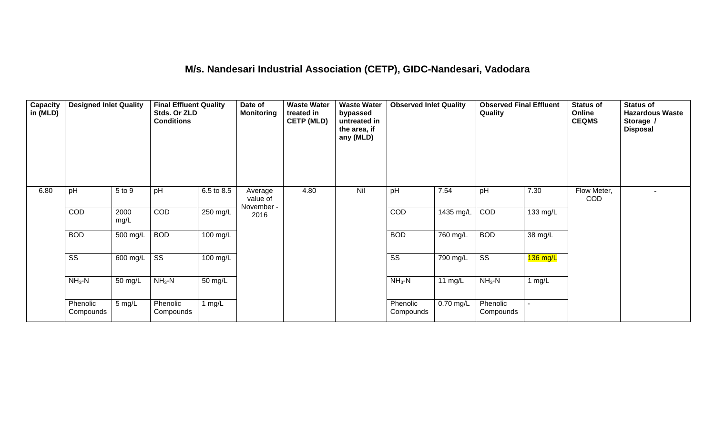## **M/s. Nandesari Industrial Association (CETP), GIDC-Nandesari, Vadodara**

| <b>Capacity</b><br>in (MLD) | <b>Designed Inlet Quality</b> |                  | <b>Final Effluent Quality</b><br>Stds. Or ZLD<br><b>Conditions</b> |                    | Date of<br><b>Monitoring</b>      | <b>Waste Water</b><br>treated in<br><b>CETP (MLD)</b> | <b>Waste Water</b><br>bypassed<br>untreated in<br>the area, if<br>any (MLD) | <b>Observed Inlet Quality</b> |             | <b>Observed Final Effluent</b><br>Quality |                       | Status of<br>Online<br><b>CEQMS</b> | <b>Status of</b><br><b>Hazardous Waste</b><br>Storage /<br><b>Disposal</b> |
|-----------------------------|-------------------------------|------------------|--------------------------------------------------------------------|--------------------|-----------------------------------|-------------------------------------------------------|-----------------------------------------------------------------------------|-------------------------------|-------------|-------------------------------------------|-----------------------|-------------------------------------|----------------------------------------------------------------------------|
| 6.80                        | pH                            | 5 to 9           | pH                                                                 | 6.5 to 8.5         | Average<br>value of<br>November - | 4.80                                                  | Nil                                                                         | pH                            | 7.54        | pH                                        | 7.30                  | Flow Meter,<br><b>COD</b>           |                                                                            |
|                             | COD                           | 2000<br>mg/L     | COD                                                                | $250$ mg/L         | 2016                              |                                                       |                                                                             | COD                           | 1435 mg/L   | COD                                       | $\overline{133}$ mg/L |                                     |                                                                            |
|                             | <b>BOD</b>                    | 500 mg/L         | <b>BOD</b>                                                         | 100 mg/L           |                                   |                                                       |                                                                             | <b>BOD</b>                    | 760 mg/L    | <b>BOD</b>                                | 38 mg/L               |                                     |                                                                            |
|                             | $\overline{\text{ss}}$        | 600 mg/L         | $\overline{\text{ss}}$                                             | $100 \text{ mg/L}$ |                                   |                                                       |                                                                             | $\overline{\text{ss}}$        | 790 mg/L    | $\overline{\text{ss}}$                    | $136$ mg/L            |                                     |                                                                            |
|                             | $NH3-N$                       | 50 mg/L          | $NH3-N$                                                            | 50 mg/L            |                                   |                                                       |                                                                             | $NH3-N$                       | 11 $mg/L$   | $NH3-N$                                   | 1 $mg/L$              |                                     |                                                                            |
|                             | Phenolic<br>Compounds         | $5 \text{ mg/L}$ | Phenolic<br>Compounds                                              | 1 $mg/L$           |                                   |                                                       |                                                                             | Phenolic<br>Compounds         | $0.70$ mg/L | Phenolic<br>Compounds                     |                       |                                     |                                                                            |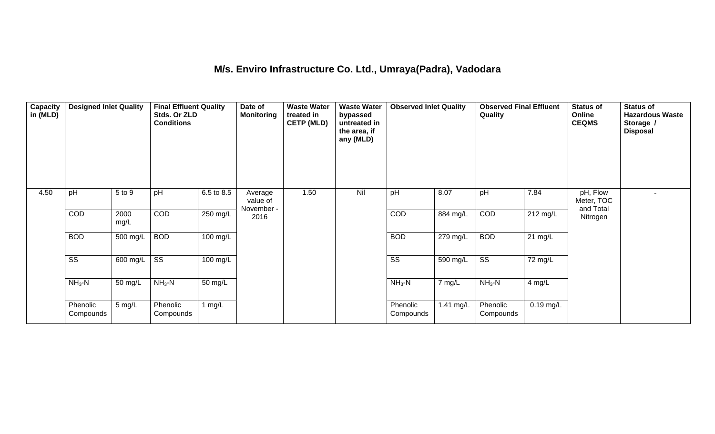### **M/s. Enviro Infrastructure Co. Ltd., Umraya(Padra), Vadodara**

| Capacity<br>in (MLD) | <b>Designed Inlet Quality</b> |              | <b>Final Effluent Quality</b><br>Stds. Or ZLD<br><b>Conditions</b> |            | Date of<br><b>Monitoring</b>      | <b>Waste Water</b><br>treated in<br><b>CETP (MLD)</b> | <b>Waste Water</b><br>bypassed<br>untreated in<br>the area, if<br>any (MLD) | <b>Observed Inlet Quality</b> |           | <b>Observed Final Effluent</b><br>Quality |                    | <b>Status of</b><br>Online<br><b>CEQMS</b> | <b>Status of</b><br><b>Hazardous Waste</b><br>Storage /<br><b>Disposal</b> |
|----------------------|-------------------------------|--------------|--------------------------------------------------------------------|------------|-----------------------------------|-------------------------------------------------------|-----------------------------------------------------------------------------|-------------------------------|-----------|-------------------------------------------|--------------------|--------------------------------------------|----------------------------------------------------------------------------|
| 4.50                 | pH                            | 5 to 9       | pH                                                                 | 6.5 to 8.5 | Average<br>value of<br>November - | 1.50                                                  | Nil                                                                         | pH                            | 8.07      | pH                                        | 7.84               | pH, Flow<br>Meter, TOC<br>and Total        |                                                                            |
|                      | COD                           | 2000<br>mg/L | COD                                                                | 250 mg/L   | 2016                              |                                                       |                                                                             | COD                           | 884 mg/L  | COD                                       | $212 \text{ mg/L}$ | Nitrogen                                   |                                                                            |
|                      | <b>BOD</b>                    | 500 mg/L     | <b>BOD</b>                                                         | 100 mg/L   |                                   |                                                       |                                                                             | <b>BOD</b>                    | 279 mg/L  | <b>BOD</b>                                | $21$ mg/L          |                                            |                                                                            |
|                      | $\overline{\text{SS}}$        | 600 mg/L     | $\overline{\text{SS}}$                                             | 100 mg/L   |                                   |                                                       |                                                                             | $\overline{\text{ss}}$        | 590 mg/L  | $\overline{\text{ss}}$                    | 72 mg/L            |                                            |                                                                            |
|                      | $NH3-N$                       | 50 mg/L      | $NH3$ -N                                                           | 50 mg/L    |                                   |                                                       |                                                                             | $NH3-N$                       | 7 mg/L    | $NH3 - N$                                 | 4 mg/L             |                                            |                                                                            |
|                      | Phenolic<br>Compounds         | 5 mg/L       | Phenolic<br>Compounds                                              | 1 $mg/L$   |                                   |                                                       |                                                                             | Phenolic<br>Compounds         | 1.41 mg/L | Phenolic<br>Compounds                     | $0.19$ mg/L        |                                            |                                                                            |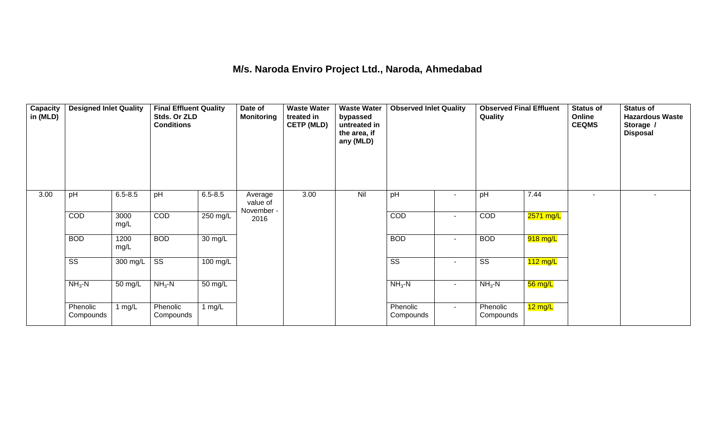### **M/s. Naroda Enviro Project Ltd., Naroda, Ahmedabad**

| Capacity<br>in (MLD) | <b>Designed Inlet Quality</b> |                  | <b>Final Effluent Quality</b><br>Stds. Or ZLD<br><b>Conditions</b> |                      | Date of<br><b>Monitoring</b> | <b>Waste Water</b><br>treated in<br><b>CETP (MLD)</b> | <b>Waste Water</b><br>bypassed<br>untreated in<br>the area, if<br>any (MLD) | <b>Observed Inlet Quality</b> |                          | <b>Observed Final Effluent</b><br>Quality |             | <b>Status of</b><br>Online<br><b>CEQMS</b> | <b>Status of</b><br><b>Hazardous Waste</b><br>Storage /<br><b>Disposal</b> |
|----------------------|-------------------------------|------------------|--------------------------------------------------------------------|----------------------|------------------------------|-------------------------------------------------------|-----------------------------------------------------------------------------|-------------------------------|--------------------------|-------------------------------------------|-------------|--------------------------------------------|----------------------------------------------------------------------------|
| 3.00                 | pH                            | $6.5 - 8.5$      | pH                                                                 | $6.5 - 8.5$          | Average<br>value of          | 3.00                                                  | Nil                                                                         | pH                            | $\overline{\phantom{a}}$ | pH                                        | 7.44        |                                            |                                                                            |
|                      | COD                           | 3000<br>mg/L     | COD                                                                | 250 mg/L             | November -<br>2016           |                                                       |                                                                             | COD                           | $\blacksquare$           | COD                                       | $2571$ mg/L |                                            |                                                                            |
|                      | <b>BOD</b>                    | 1200<br>mg/L     | <b>BOD</b>                                                         | $\overline{30}$ mg/L |                              |                                                       |                                                                             | <b>BOD</b>                    | $\sim$                   | <b>BOD</b>                                | 918 mg/L    |                                            |                                                                            |
|                      | $\overline{\text{ss}}$        | 300 mg/L $\vert$ | $\overline{\text{ss}}$                                             | 100 mg/L             |                              |                                                       |                                                                             | $\overline{\text{ss}}$        | $\sim$                   | $\overline{\text{ss}}$                    | $112$ mg/L  |                                            |                                                                            |
|                      | $NH3-N$                       | 50 mg/L          | $NH3-N$                                                            | 50 mg/L              |                              |                                                       |                                                                             | $NH3-N$                       | $\sim$                   | $NH3-N$                                   | 56 mg/L     |                                            |                                                                            |
|                      | Phenolic<br>Compounds         | 1 $mg/L$         | Phenolic<br>Compounds                                              | 1 $mg/L$             |                              |                                                       |                                                                             | Phenolic<br>Compounds         | $\sim$                   | Phenolic<br>Compounds                     | 12 mg/L     |                                            |                                                                            |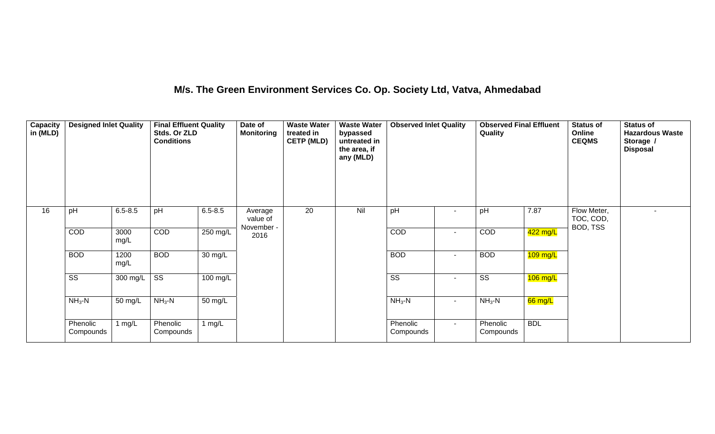### **M/s. The Green Environment Services Co. Op. Society Ltd, Vatva, Ahmedabad**

| Capacity<br>in (MLD) | <b>Designed Inlet Quality</b> |              | <b>Final Effluent Quality</b><br>Stds. Or ZLD<br><b>Conditions</b> |                   | Date of<br><b>Monitoring</b>      | <b>Waste Water</b><br>treated in<br><b>CETP (MLD)</b> | <b>Waste Water</b><br>bypassed<br>untreated in<br>the area, if<br>any (MLD) | <b>Observed Inlet Quality</b> |                | <b>Observed Final Effluent</b><br>Quality |            | <b>Status of</b><br>Online<br><b>CEQMS</b> | <b>Status of</b><br><b>Hazardous Waste</b><br>Storage /<br><b>Disposal</b> |
|----------------------|-------------------------------|--------------|--------------------------------------------------------------------|-------------------|-----------------------------------|-------------------------------------------------------|-----------------------------------------------------------------------------|-------------------------------|----------------|-------------------------------------------|------------|--------------------------------------------|----------------------------------------------------------------------------|
| $\overline{16}$      | pH                            | $6.5 - 8.5$  | pH                                                                 | $6.5 - 8.5$       | Average<br>value of<br>November - | 20                                                    | Nil                                                                         | pH                            |                | pH                                        | 7.87       | Flow Meter,<br>TOC, COD,<br>BOD, TSS       |                                                                            |
|                      | COD                           | 3000<br>mg/L | COD                                                                | 250 mg/L          | 2016                              |                                                       |                                                                             | COD                           | $\blacksquare$ | COD                                       | 422 mg/L   |                                            |                                                                            |
|                      | <b>BOD</b>                    | 1200<br>mg/L | <b>BOD</b>                                                         | $30 \text{ mg/L}$ |                                   |                                                       |                                                                             | <b>BOD</b>                    | $\sim$         | <b>BOD</b>                                | 109 mg/L   |                                            |                                                                            |
|                      | $\overline{\text{ss}}$        | 300 mg/L     | $\overline{\text{ss}}$                                             | 100 mg/L          |                                   |                                                       |                                                                             | $\overline{\text{ss}}$        | $\sim$         | $\overline{\text{ss}}$                    | 106 mg/L   |                                            |                                                                            |
|                      | $NH3-N$                       | 50 mg/L      | $NH3-N$                                                            | 50 mg/L           |                                   |                                                       |                                                                             | $NH3-N$                       | $\blacksquare$ | $NH3$ -N                                  | 66 mg/L    |                                            |                                                                            |
|                      | Phenolic<br>Compounds         | 1 $mg/L$     | Phenolic<br>Compounds                                              | 1 $mg/L$          |                                   |                                                       |                                                                             | Phenolic<br>Compounds         | $\sim$         | Phenolic<br>Compounds                     | <b>BDL</b> |                                            |                                                                            |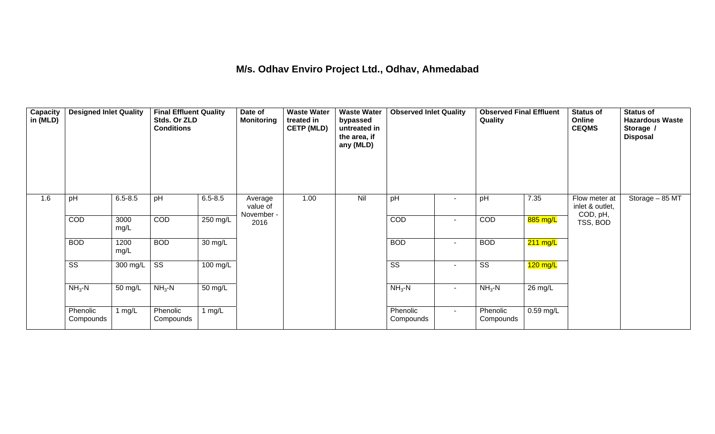#### **M/s. Odhav Enviro Project Ltd., Odhav, Ahmedabad**

| Capacity<br>in (MLD) | <b>Designed Inlet Quality</b> |              | <b>Final Effluent Quality</b><br>Stds. Or ZLD<br><b>Conditions</b> |             | Date of<br><b>Monitoring</b>      | <b>Waste Water</b><br>treated in<br><b>CETP (MLD)</b> | <b>Waste Water</b><br>bypassed<br>untreated in<br>the area, if<br>any (MLD) | <b>Observed Inlet Quality</b> |                          | <b>Observed Final Effluent</b><br>Quality |                    | <b>Status of</b><br>Online<br><b>CEQMS</b>   | <b>Status of</b><br><b>Hazardous Waste</b><br>Storage /<br><b>Disposal</b> |
|----------------------|-------------------------------|--------------|--------------------------------------------------------------------|-------------|-----------------------------------|-------------------------------------------------------|-----------------------------------------------------------------------------|-------------------------------|--------------------------|-------------------------------------------|--------------------|----------------------------------------------|----------------------------------------------------------------------------|
| 1.6                  | pH                            | $6.5 - 8.5$  | pH                                                                 | $6.5 - 8.5$ | Average<br>value of<br>November - | 1.00                                                  | Nil                                                                         | pH                            |                          | pH                                        | 7.35               | Flow meter at<br>inlet & outlet,<br>COD, pH, | Storage - 85 MT                                                            |
|                      | COD                           | 3000<br>mg/L | COD                                                                | 250 mg/L    | 2016                              |                                                       |                                                                             | COD                           | $\overline{\phantom{a}}$ | COD                                       | $885$ mg/L         | TSS, BOD                                     |                                                                            |
|                      | <b>BOD</b>                    | 1200<br>mg/L | <b>BOD</b>                                                         | 30 mg/L     |                                   |                                                       |                                                                             | <b>BOD</b>                    | $\blacksquare$           | <b>BOD</b>                                | $211 \text{ mg/L}$ |                                              |                                                                            |
|                      | $\overline{\text{ss}}$        | 300 mg/L     | $\overline{\text{ss}}$                                             | 100 mg/L    |                                   |                                                       |                                                                             | $\overline{\text{ss}}$        | $\blacksquare$           | $\overline{\text{ss}}$                    | $120$ mg/L         |                                              |                                                                            |
|                      | $NH3 - N$                     | 50 mg/L      | $NH3-N$                                                            | 50 mg/L     |                                   |                                                       |                                                                             | $NH3-N$                       | $\blacksquare$           | $NH3-N$                                   | 26 mg/L            |                                              |                                                                            |
|                      | Phenolic<br>Compounds         | 1 mg/ $L$    | Phenolic<br>Compounds                                              | 1 $mg/L$    |                                   |                                                       |                                                                             | Phenolic<br>Compounds         | $\blacksquare$           | Phenolic<br>Compounds                     | $0.59$ mg/L        |                                              |                                                                            |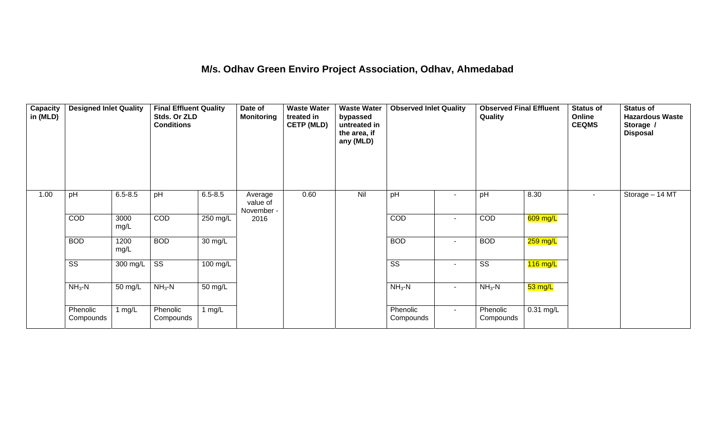### **M/s. Odhav Green Enviro Project Association, Odhav, Ahmedabad**

| Capacity<br>in (MLD) | <b>Designed Inlet Quality</b> |              | <b>Final Effluent Quality</b><br>Stds. Or ZLD<br><b>Conditions</b> |                    | Date of<br><b>Monitoring</b>      | <b>Waste Water</b><br>treated in<br><b>CETP (MLD)</b> | <b>Waste Water</b><br>bypassed<br>untreated in<br>the area, if<br>any (MLD) | <b>Observed Inlet Quality</b> |                          | <b>Observed Final Effluent</b><br>Quality |             | <b>Status of</b><br>Online<br><b>CEQMS</b> | <b>Status of</b><br><b>Hazardous Waste</b><br>Storage /<br><b>Disposal</b> |
|----------------------|-------------------------------|--------------|--------------------------------------------------------------------|--------------------|-----------------------------------|-------------------------------------------------------|-----------------------------------------------------------------------------|-------------------------------|--------------------------|-------------------------------------------|-------------|--------------------------------------------|----------------------------------------------------------------------------|
| 1.00                 | pH                            | $6.5 - 8.5$  | pH                                                                 | $6.5 - 8.5$        | Average<br>value of<br>November - | 0.60                                                  | Nil                                                                         | pH                            | $\overline{\phantom{a}}$ | pH                                        | 8.30        | $\sim$                                     | Storage - 14 MT                                                            |
|                      | <b>COD</b>                    | 3000<br>mg/L | COD                                                                | 250 mg/L           | 2016                              |                                                       |                                                                             | COD                           | $\sim$                   | COD                                       | 609 mg/L    |                                            |                                                                            |
|                      | <b>BOD</b>                    | 1200<br>mg/L | <b>BOD</b>                                                         | 30 mg/L            |                                   |                                                       |                                                                             | <b>BOD</b>                    | $\overline{\phantom{a}}$ | <b>BOD</b>                                | $259$ mg/L  |                                            |                                                                            |
|                      | $\overline{\text{ss}}$        | 300 mg/L     | $\overline{\text{ss}}$                                             | $100 \text{ mg/L}$ |                                   |                                                       |                                                                             | $\overline{\text{ss}}$        | $\overline{\phantom{a}}$ | $\overline{\text{ss}}$                    | $116$ mg/L  |                                            |                                                                            |
|                      | $NH3-N$                       | 50 mg/L      | $NH3-N$                                                            | 50 mg/L            |                                   |                                                       |                                                                             | $NH3-N$                       | $\sim$                   | $NH3-N$                                   | $53$ mg/L   |                                            |                                                                            |
|                      | Phenolic<br>Compounds         | 1 $mg/L$     | Phenolic<br>Compounds                                              | 1 $mg/L$           |                                   |                                                       |                                                                             | Phenolic<br>Compounds         | $\sim$                   | Phenolic<br>Compounds                     | $0.31$ mg/L |                                            |                                                                            |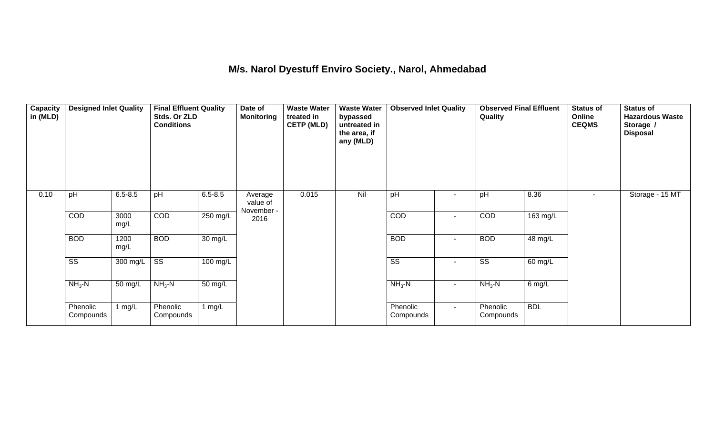#### **M/s. Narol Dyestuff Enviro Society., Narol, Ahmedabad**

| Capacity<br>in (MLD) | <b>Designed Inlet Quality</b> |                       | <b>Final Effluent Quality</b><br>Stds. Or ZLD<br><b>Conditions</b> |                    | Date of<br><b>Monitoring</b>      | <b>Waste Water</b><br>treated in<br><b>CETP (MLD)</b> | <b>Waste Water</b><br>bypassed<br>untreated in<br>the area, if<br>any (MLD) | <b>Observed Inlet Quality</b> |                | <b>Observed Final Effluent</b><br>Quality |            | <b>Status of</b><br>Online<br><b>CEQMS</b> | <b>Status of</b><br><b>Hazardous Waste</b><br>Storage /<br><b>Disposal</b> |
|----------------------|-------------------------------|-----------------------|--------------------------------------------------------------------|--------------------|-----------------------------------|-------------------------------------------------------|-----------------------------------------------------------------------------|-------------------------------|----------------|-------------------------------------------|------------|--------------------------------------------|----------------------------------------------------------------------------|
| 0.10                 | pH                            | $6.5 - 8.5$           | pH                                                                 | $6.5 - 8.5$        | Average<br>value of<br>November - | 0.015                                                 | Nil                                                                         | pH                            |                | pH                                        | 8.36       | $\sim$                                     | Storage - 15 MT                                                            |
|                      | COD                           | 3000<br>mg/L          | COD                                                                | 250 mg/L           | 2016                              |                                                       |                                                                             | COD                           | $\blacksquare$ | COD                                       | 163 mg/L   |                                            |                                                                            |
|                      | <b>BOD</b>                    | 1200<br>mg/L          | <b>BOD</b>                                                         | 30 mg/L            |                                   |                                                       |                                                                             | <b>BOD</b>                    | $\sim$         | <b>BOD</b>                                | 48 mg/L    |                                            |                                                                            |
|                      | $\overline{\text{ss}}$        | $\overline{300}$ mg/L | $\overline{\text{ss}}$                                             | $100 \text{ mg/L}$ |                                   |                                                       |                                                                             | $\overline{\text{ss}}$        | $\blacksquare$ | $\overline{\text{ss}}$                    | 60 mg/L    |                                            |                                                                            |
|                      | $NH3-N$                       | 50 mg/L               | $NH3$ -N                                                           | 50 mg/L            |                                   |                                                       |                                                                             | $NH3-N$                       | $\blacksquare$ | $NH3$ -N                                  | 6 mg/L     |                                            |                                                                            |
|                      | Phenolic<br>Compounds         | 1 $mg/L$              | Phenolic<br>Compounds                                              | 1 $mg/L$           |                                   |                                                       |                                                                             | Phenolic<br>Compounds         | $\sim$         | Phenolic<br>Compounds                     | <b>BDL</b> |                                            |                                                                            |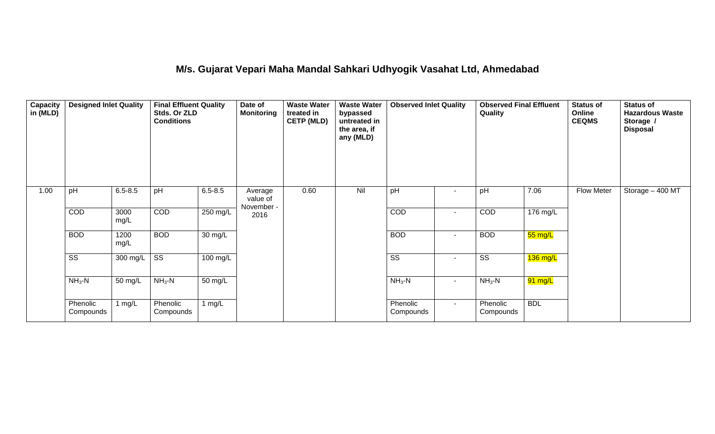#### **M/s. Gujarat Vepari Maha Mandal Sahkari Udhyogik Vasahat Ltd, Ahmedabad**

| Capacity<br>in (MLD) | <b>Designed Inlet Quality</b> |              | <b>Final Effluent Quality</b><br>Stds. Or ZLD<br><b>Conditions</b> |             | Date of<br><b>Monitoring</b>      | <b>Waste Water</b><br>treated in<br><b>CETP (MLD)</b> | <b>Waste Water</b><br>bypassed<br>untreated in<br>the area, if<br>any (MLD) | <b>Observed Inlet Quality</b> |                | <b>Observed Final Effluent</b><br>Quality |                      | <b>Status of</b><br>Online<br><b>CEQMS</b> | <b>Status of</b><br><b>Hazardous Waste</b><br>Storage /<br><b>Disposal</b> |
|----------------------|-------------------------------|--------------|--------------------------------------------------------------------|-------------|-----------------------------------|-------------------------------------------------------|-----------------------------------------------------------------------------|-------------------------------|----------------|-------------------------------------------|----------------------|--------------------------------------------|----------------------------------------------------------------------------|
| 1.00                 | pH                            | $6.5 - 8.5$  | pH                                                                 | $6.5 - 8.5$ | Average<br>value of<br>November - | 0.60                                                  | Nil                                                                         | pH                            | Ξ.             | pH                                        | 7.06                 | Flow Meter                                 | Storage - 400 MT                                                           |
|                      | COD                           | 3000<br>mg/L | COD                                                                | $250$ mg/L  | 2016                              |                                                       |                                                                             | COD                           | $\blacksquare$ | COD                                       | 176 mg/L             |                                            |                                                                            |
|                      | <b>BOD</b>                    | 1200<br>mg/L | <b>BOD</b>                                                         | 30 mg/L     |                                   |                                                       |                                                                             | <b>BOD</b>                    | $\sim$         | <b>BOD</b>                                | 55 mg/L              |                                            |                                                                            |
|                      | $\overline{\text{SS}}$        | 300 mg/L     | $\overline{\text{ss}}$                                             | 100 mg/L    |                                   |                                                       |                                                                             | $\overline{\text{ss}}$        | Ξ.             | $\overline{\text{SS}}$                    | 136 mg/L             |                                            |                                                                            |
|                      | $NH3-N$                       | 50 mg/L      | $NH3$ -N                                                           | 50 mg/L     |                                   |                                                       |                                                                             | $NH3-N$                       | $\sim$         | $NH3 - N$                                 | <mark>91 mg/L</mark> |                                            |                                                                            |
|                      | Phenolic<br>Compounds         | 1 $mg/L$     | Phenolic<br>Compounds                                              | 1 $mg/L$    |                                   |                                                       |                                                                             | Phenolic<br>Compounds         | $\sim$         | Phenolic<br>Compounds                     | <b>BDL</b>           |                                            |                                                                            |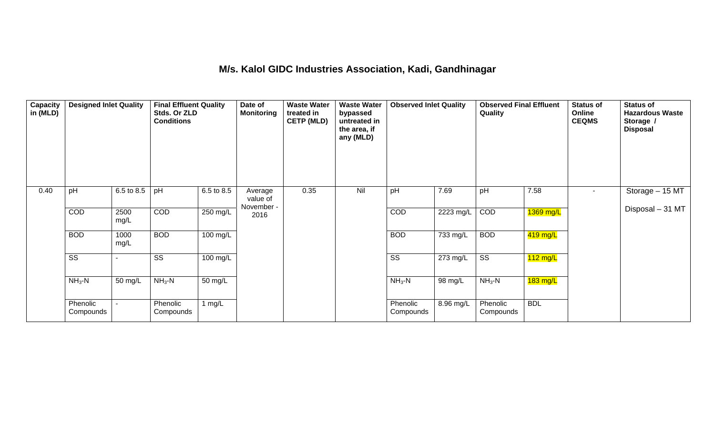#### **M/s. Kalol GIDC Industries Association, Kadi, Gandhinagar**

| Capacity<br>in (MLD) | <b>Designed Inlet Quality</b> |              | <b>Final Effluent Quality</b><br>Stds. Or ZLD<br><b>Conditions</b> |            | Date of<br><b>Monitoring</b>      | <b>Waste Water</b><br>treated in<br><b>CETP (MLD)</b> | <b>Waste Water</b><br>bypassed<br>untreated in<br>the area, if<br>any (MLD) | <b>Observed Inlet Quality</b> |                        | <b>Observed Final Effluent</b><br>Quality |            | <b>Status of</b><br>Online<br><b>CEQMS</b> | <b>Status of</b><br><b>Hazardous Waste</b><br>Storage /<br><b>Disposal</b> |
|----------------------|-------------------------------|--------------|--------------------------------------------------------------------|------------|-----------------------------------|-------------------------------------------------------|-----------------------------------------------------------------------------|-------------------------------|------------------------|-------------------------------------------|------------|--------------------------------------------|----------------------------------------------------------------------------|
| 0.40                 | pH                            | 6.5 to 8.5   | pH                                                                 | 6.5 to 8.5 | Average<br>value of<br>November - | 0.35                                                  | Nil                                                                         | pH                            | 7.69                   | pH                                        | 7.58       | $\sim$                                     | Storage - 15 MT                                                            |
|                      | COD                           | 2500<br>mg/L | COD                                                                | $250$ mg/L | 2016                              |                                                       |                                                                             | COD                           | $\overline{2223}$ mg/L | COD                                       | 1369 mg/L  |                                            | Disposal - 31 MT                                                           |
|                      | <b>BOD</b>                    | 1000<br>mg/L | <b>BOD</b>                                                         | 100 mg/L   |                                   |                                                       |                                                                             | <b>BOD</b>                    | 733 mg/L               | <b>BOD</b>                                | 419 mg/L   |                                            |                                                                            |
|                      | $\overline{\text{SS}}$        |              | $\overline{\text{ss}}$                                             | 100 mg/L   |                                   |                                                       |                                                                             | $\overline{\text{SS}}$        | 273 mg/L               | $\overline{\text{ss}}$                    | $112$ mg/L |                                            |                                                                            |
|                      | $NH3-N$                       | 50 mg/L      | $NH3 - N$                                                          | 50 mg/L    |                                   |                                                       |                                                                             | $NH3-N$                       | 98 mg/L                | $NH3-N$                                   | $183$ mg/L |                                            |                                                                            |
|                      | Phenolic<br>Compounds         |              | Phenolic<br>Compounds                                              | 1 $mg/L$   |                                   |                                                       |                                                                             | Phenolic<br>Compounds         | 8.96 mg/L              | Phenolic<br>Compounds                     | <b>BDL</b> |                                            |                                                                            |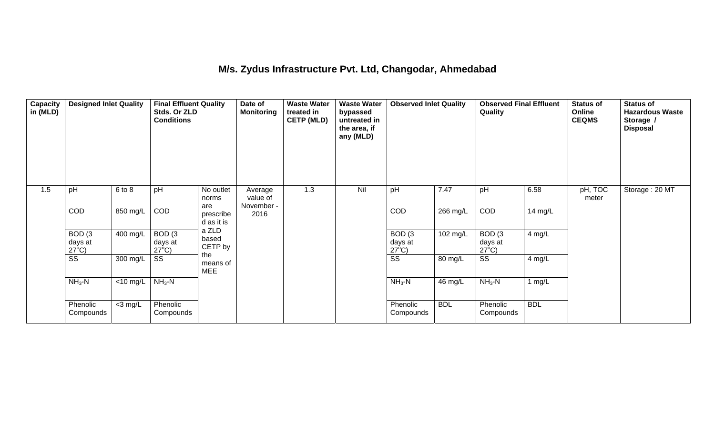### **M/s. Zydus Infrastructure Pvt. Ltd, Changodar, Ahmedabad**

| Capacity<br>in (MLD) | <b>Designed Inlet Quality</b>        |             | <b>Final Effluent Quality</b><br>Stds. Or ZLD<br><b>Conditions</b> |                                | Date of<br><b>Monitoring</b> | <b>Waste Water</b><br>treated in<br><b>CETP (MLD)</b> | <b>Waste Water</b><br>bypassed<br>untreated in<br>the area, if<br>any (MLD) | <b>Observed Inlet Quality</b>        |            | <b>Observed Final Effluent</b><br>Quality |            | <b>Status of</b><br>Online<br><b>CEQMS</b> | <b>Status of</b><br><b>Hazardous Waste</b><br>Storage /<br><b>Disposal</b> |
|----------------------|--------------------------------------|-------------|--------------------------------------------------------------------|--------------------------------|------------------------------|-------------------------------------------------------|-----------------------------------------------------------------------------|--------------------------------------|------------|-------------------------------------------|------------|--------------------------------------------|----------------------------------------------------------------------------|
| 1.5                  | pH                                   | 6 to 8      | pH                                                                 | No outlet<br>norms             | Average<br>value of          | 1.3                                                   | Nil                                                                         | pH                                   | 7.47       | pH                                        | 6.58       | pH, TOC<br>meter                           | Storage: 20 MT                                                             |
|                      | <b>COD</b>                           | 850 mg/L    | COD                                                                | are<br>prescribe<br>d as it is | November -<br>2016           |                                                       |                                                                             | <b>COD</b>                           | 266 mg/L   | COD                                       | 14 $mg/L$  |                                            |                                                                            |
|                      | BOD(3)<br>days at<br>$27^{\circ}$ C) | 400 mg/L    | BOD(3)<br>days at<br>$27^{\circ}$ C)                               | a ZLD<br>based<br>CETP by      |                              |                                                       |                                                                             | BOD(3)<br>days at<br>$27^{\circ}$ C) | 102 mg/L   | BOD(3)<br>days at<br>$27^{\circ}$ C)      | 4 mg/L     |                                            |                                                                            |
|                      | $\overline{\text{ss}}$               | 300 mg/L    | SS                                                                 | the<br>means of<br>MEE         |                              |                                                       |                                                                             | $\overline{\text{ss}}$               | 80 mg/L    | $\overline{\text{ss}}$                    | 4 mg/L     |                                            |                                                                            |
|                      | $NH3-N$                              | $<$ 10 mg/L | $NH3 - N$                                                          |                                |                              |                                                       |                                                                             | $NH3-N$                              | 46 mg/L    | $NH3-N$                                   | 1 $mg/L$   |                                            |                                                                            |
|                      | Phenolic<br>Compounds                | $<$ 3 mg/L  | Phenolic<br>Compounds                                              |                                |                              |                                                       |                                                                             | Phenolic<br>Compounds                | <b>BDL</b> | Phenolic<br>Compounds                     | <b>BDL</b> |                                            |                                                                            |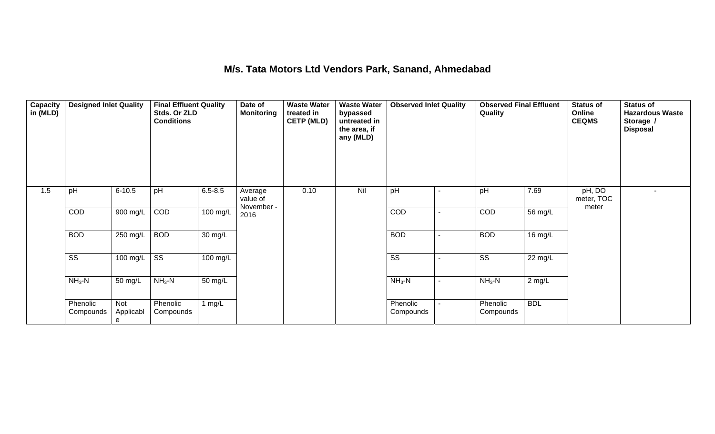#### **M/s. Tata Motors Ltd Vendors Park, Sanand, Ahmedabad**

| Capacity<br>in (MLD) | <b>Designed Inlet Quality</b> |                       | <b>Final Effluent Quality</b><br>Stds. Or ZLD<br><b>Conditions</b> |             | Date of<br><b>Monitoring</b> | <b>Waste Water</b><br>treated in<br><b>CETP (MLD)</b> | <b>Waste Water</b><br>bypassed<br>untreated in<br>the area, if<br>any (MLD) | <b>Observed Inlet Quality</b> |                | <b>Observed Final Effluent</b><br>Quality |            | <b>Status of</b><br>Online<br><b>CEQMS</b> | <b>Status of</b><br><b>Hazardous Waste</b><br>Storage /<br><b>Disposal</b> |
|----------------------|-------------------------------|-----------------------|--------------------------------------------------------------------|-------------|------------------------------|-------------------------------------------------------|-----------------------------------------------------------------------------|-------------------------------|----------------|-------------------------------------------|------------|--------------------------------------------|----------------------------------------------------------------------------|
| 1.5                  | pH                            | $6 - 10.5$            | pH                                                                 | $6.5 - 8.5$ | Average<br>value of          | 0.10                                                  | Nil                                                                         | pH                            | $\blacksquare$ | pH                                        | 7.69       | pH, DO<br>meter, TOC                       | $\overline{\phantom{a}}$                                                   |
|                      | COD                           | 900 mg/L              | COD                                                                | 100 mg/L    | November -<br>2016           |                                                       |                                                                             | COD                           | ÷              | COD                                       | 56 mg/L    | meter                                      |                                                                            |
|                      | <b>BOD</b>                    | $250$ mg/L            | <b>BOD</b>                                                         | 30 mg/L     |                              |                                                       |                                                                             | <b>BOD</b>                    | ٠              | <b>BOD</b>                                | 16 mg/L    |                                            |                                                                            |
|                      | SS                            | 100 mg/L              | SS                                                                 | 100 mg/L    |                              |                                                       |                                                                             | SS                            |                | SS                                        | 22 mg/L    |                                            |                                                                            |
|                      | $NH3-N$                       | 50 mg/L               | $NH3$ -N                                                           | 50 mg/L     |                              |                                                       |                                                                             | $NH3-N$                       | $\sim$         | $NH3$ -N                                  | $2$ mg/L   |                                            |                                                                            |
|                      | Phenolic<br>Compounds         | Not<br>Applicabl<br>e | Phenolic<br>Compounds                                              | 1 $mg/L$    |                              |                                                       |                                                                             | Phenolic<br>Compounds         |                | Phenolic<br>Compounds                     | <b>BDL</b> |                                            |                                                                            |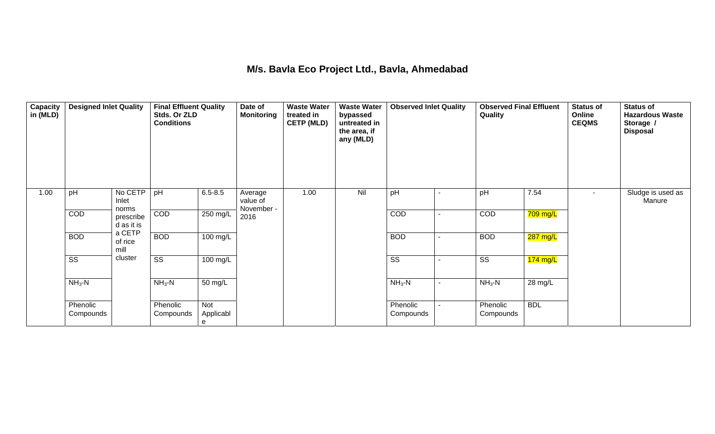#### **M/s. Bavla Eco Project Ltd., Bavla, Ahmedabad**

| Capacity<br>in (MLD) | <b>Designed Inlet Quality</b> |                           | <b>Final Effluent Quality</b><br>Stds. Or ZLD<br><b>Conditions</b> |                       | Date of<br><b>Monitoring</b>      | <b>Waste Water</b><br>treated in<br><b>CETP (MLD)</b> | <b>Waste Water</b><br>bypassed<br>untreated in<br>the area, if<br>any (MLD) | <b>Observed Inlet Quality</b> |   | <b>Observed Final Effluent</b><br>Quality |            | <b>Status of</b><br>Online<br><b>CEQMS</b> | <b>Status of</b><br><b>Hazardous Waste</b><br>Storage /<br><b>Disposal</b> |
|----------------------|-------------------------------|---------------------------|--------------------------------------------------------------------|-----------------------|-----------------------------------|-------------------------------------------------------|-----------------------------------------------------------------------------|-------------------------------|---|-------------------------------------------|------------|--------------------------------------------|----------------------------------------------------------------------------|
| 1.00                 | pH                            | No CETP<br>Inlet<br>norms | pH                                                                 | $6.5 - 8.5$           | Average<br>value of<br>November - | 1.00                                                  | Nil                                                                         | pH                            | ۰ | pH                                        | 7.54       |                                            | Sludge is used as<br>Manure                                                |
|                      | COD                           | prescribe<br>d as it is   | COD                                                                | 250 mg/L              | 2016                              |                                                       |                                                                             | COD                           | ٠ | COD                                       | $709$ mg/L |                                            |                                                                            |
|                      | <b>BOD</b>                    | a CETP<br>of rice<br>mill | <b>BOD</b>                                                         | $\overline{100}$ mg/L |                                   |                                                       |                                                                             | <b>BOD</b>                    |   | <b>BOD</b>                                | $287$ mg/L |                                            |                                                                            |
|                      | $\overline{\text{ss}}$        | cluster                   | $\overline{\text{ss}}$                                             | 100 mg/L              |                                   |                                                       |                                                                             | $\overline{\text{ss}}$        |   | SS                                        | $174$ mg/L |                                            |                                                                            |
|                      | $NH3-N$                       |                           | $NH3-N$                                                            | 50 mg/L               |                                   |                                                       |                                                                             | $NH3-N$                       | ۰ | $NH3-N$                                   | 28 mg/L    |                                            |                                                                            |
|                      | Phenolic<br>Compounds         |                           | Phenolic<br>Compounds                                              | Not<br>Applicabl<br>е |                                   |                                                       |                                                                             | Phenolic<br>Compounds         |   | Phenolic<br>Compounds                     | <b>BDL</b> |                                            |                                                                            |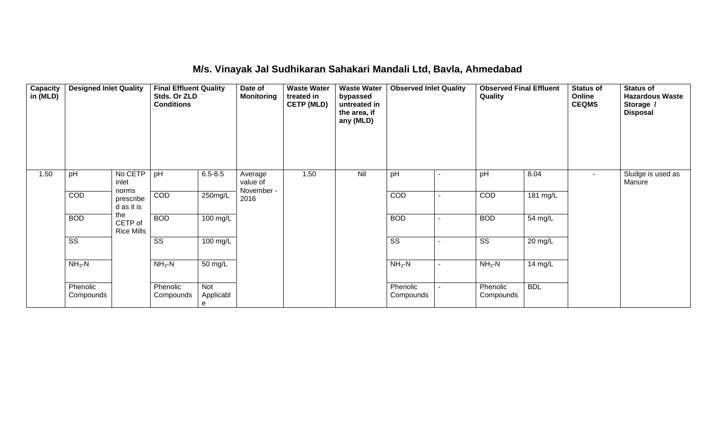## **M/s. Vinayak Jal Sudhikaran Sahakari Mandali Ltd, Bavla, Ahmedabad**

| Capacity<br>in (MLD) | <b>Designed Inlet Quality</b> |                                                                         | <b>Final Effluent Quality</b><br>Stds. Or ZLD<br><b>Conditions</b> |                       | Date of<br><b>Monitoring</b>      | <b>Waste Water</b><br>treated in<br><b>CETP (MLD)</b> | <b>Waste Water</b><br>bypassed<br>untreated in<br>the area, if<br>any (MLD) | <b>Observed Inlet Quality</b> |                | <b>Observed Final Effluent</b><br>Quality |            | <b>Status of</b><br>Online<br><b>CEQMS</b> | <b>Status of</b><br><b>Hazardous Waste</b><br>Storage /<br><b>Disposal</b> |
|----------------------|-------------------------------|-------------------------------------------------------------------------|--------------------------------------------------------------------|-----------------------|-----------------------------------|-------------------------------------------------------|-----------------------------------------------------------------------------|-------------------------------|----------------|-------------------------------------------|------------|--------------------------------------------|----------------------------------------------------------------------------|
| 1.50                 | pH                            | No CETP<br>inlet                                                        | pH                                                                 | $6.5 - 8.5$           | Average<br>value of<br>November - | 1.50                                                  | Nil                                                                         | pH                            |                | pH                                        | 8.04       | $\sim$                                     | Sludge is used as<br>Manure                                                |
|                      | COD                           | norms<br>prescribe<br>d as it is<br>the<br>CETP of<br><b>Rice Mills</b> | COD                                                                | 250mg/L               | 2016                              |                                                       |                                                                             | COD                           | $\blacksquare$ | COD                                       | 181 mg/L   |                                            |                                                                            |
|                      | <b>BOD</b>                    |                                                                         | <b>BOD</b>                                                         | $100$ mg/L            |                                   |                                                       |                                                                             | <b>BOD</b>                    | $\blacksquare$ | <b>BOD</b>                                | 54 mg/L    |                                            |                                                                            |
|                      | $\overline{\text{SS}}$        |                                                                         | $\overline{\text{SS}}$                                             | $100 \text{ mg/L}$    |                                   |                                                       |                                                                             | $\overline{\text{SS}}$        |                | $\overline{\text{ss}}$                    | 20 mg/L    |                                            |                                                                            |
|                      | $NH3-N$                       |                                                                         | $NH3-N$                                                            | 50 mg/L               |                                   |                                                       |                                                                             | $NH3-N$                       | $\blacksquare$ | $NH3$ -N                                  | 14 mg/L    |                                            |                                                                            |
|                      | Phenolic<br>Compounds         |                                                                         | Phenolic<br>Compounds                                              | Not<br>Applicabl<br>e |                                   |                                                       |                                                                             | Phenolic<br>Compounds         |                | Phenolic<br>Compounds                     | <b>BDL</b> |                                            |                                                                            |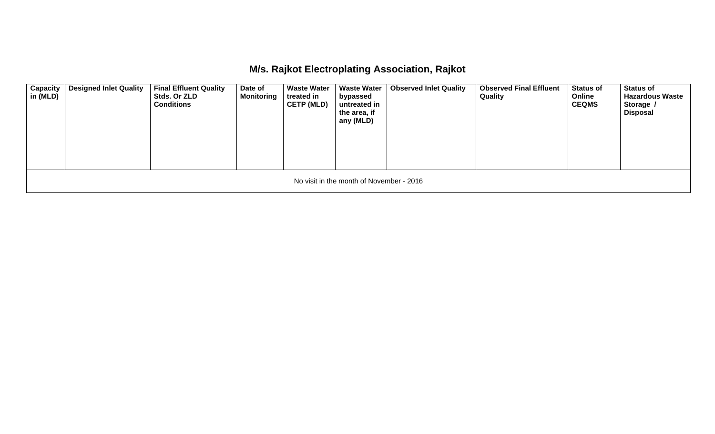### **M/s. Rajkot Electroplating Association, Rajkot**

| Capacity<br>in (MLD) | <b>Designed Inlet Quality</b>            | <b>Final Effluent Quality</b><br>Stds. Or ZLD<br><b>Conditions</b> | Date of<br><b>Monitoring</b> | <b>Waste Water</b><br>treated in<br><b>CETP (MLD)</b> | <b>Waste Water</b><br>bypassed<br>untreated in<br>the area, if<br>any (MLD) | <b>Observed Inlet Quality</b> | <b>Observed Final Effluent</b><br>Quality | <b>Status of</b><br>Online<br><b>CEQMS</b> | <b>Status of</b><br><b>Hazardous Waste</b><br>Storage /<br>Disposal |  |  |  |  |
|----------------------|------------------------------------------|--------------------------------------------------------------------|------------------------------|-------------------------------------------------------|-----------------------------------------------------------------------------|-------------------------------|-------------------------------------------|--------------------------------------------|---------------------------------------------------------------------|--|--|--|--|
|                      | No visit in the month of November - 2016 |                                                                    |                              |                                                       |                                                                             |                               |                                           |                                            |                                                                     |  |  |  |  |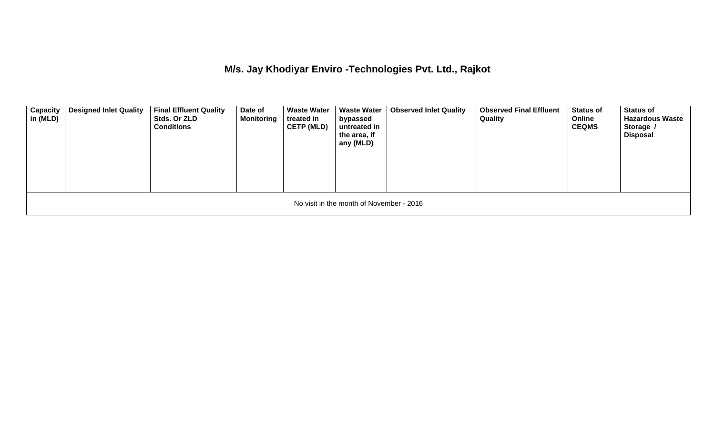**M/s. Jay Khodiyar Enviro -Technologies Pvt. Ltd., Rajkot** 

| Capacity<br>in (MLD)                     | <b>Designed Inlet Quality</b> | <b>Final Effluent Quality</b><br>Stds. Or ZLD<br><b>Conditions</b> | Date of<br><b>Monitoring</b> | <b>Waste Water</b><br>treated in<br><b>CETP (MLD)</b> | <b>Waste Water</b><br>bypassed<br>untreated in<br>the area, if<br>any (MLD) | <b>Observed Inlet Quality</b> | <b>Observed Final Effluent</b><br>Quality | <b>Status of</b><br>Online<br><b>CEQMS</b> | <b>Status of</b><br><b>Hazardous Waste</b><br>Storage /<br>Disposal |  |  |  |
|------------------------------------------|-------------------------------|--------------------------------------------------------------------|------------------------------|-------------------------------------------------------|-----------------------------------------------------------------------------|-------------------------------|-------------------------------------------|--------------------------------------------|---------------------------------------------------------------------|--|--|--|
| No visit in the month of November - 2016 |                               |                                                                    |                              |                                                       |                                                                             |                               |                                           |                                            |                                                                     |  |  |  |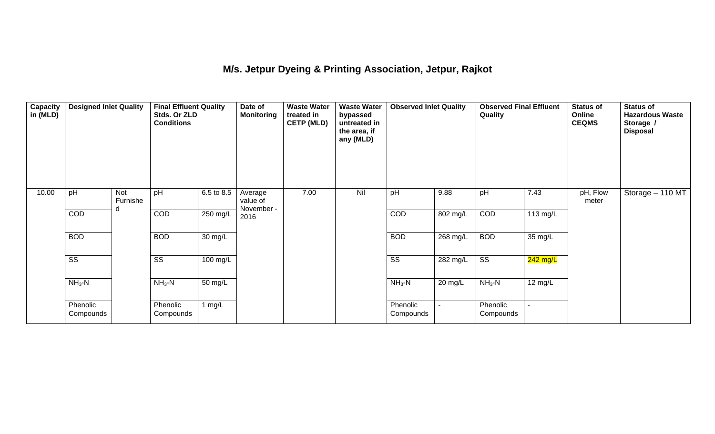## **M/s. Jetpur Dyeing & Printing Association, Jetpur, Rajkot**

| Capacity<br>in (MLD) | <b>Designed Inlet Quality</b> |                 | <b>Final Effluent Quality</b><br>Stds. Or ZLD<br><b>Conditions</b> |                    | Date of<br><b>Monitoring</b>      | <b>Waste Water</b><br>treated in<br><b>CETP (MLD)</b> | <b>Waste Water</b><br>bypassed<br>untreated in<br>the area, if<br>any (MLD) | <b>Observed Inlet Quality</b> |          | <b>Observed Final Effluent</b><br>Quality |                | <b>Status of</b><br>Online<br><b>CEQMS</b> | <b>Status of</b><br><b>Hazardous Waste</b><br>Storage /<br><b>Disposal</b> |
|----------------------|-------------------------------|-----------------|--------------------------------------------------------------------|--------------------|-----------------------------------|-------------------------------------------------------|-----------------------------------------------------------------------------|-------------------------------|----------|-------------------------------------------|----------------|--------------------------------------------|----------------------------------------------------------------------------|
| 10.00                | pH                            | Not<br>Furnishe | pH                                                                 | 6.5 to 8.5         | Average<br>value of<br>November - | 7.00                                                  | Nil                                                                         | pH                            | 9.88     | pH                                        | 7.43           | pH, Flow<br>meter                          | Storage - 110 MT                                                           |
|                      | COD                           | d               | COD                                                                | 250 mg/L           | 2016                              |                                                       |                                                                             | COD                           | 802 mg/L | COD                                       | 113 $mg/L$     |                                            |                                                                            |
|                      | <b>BOD</b>                    |                 | <b>BOD</b>                                                         | 30 mg/L            |                                   |                                                       |                                                                             | <b>BOD</b>                    | 268 mg/L | <b>BOD</b>                                | 35 mg/L        |                                            |                                                                            |
|                      | $\overline{\text{ss}}$        |                 | $\overline{\text{ss}}$                                             | $100 \text{ mg/L}$ |                                   |                                                       |                                                                             | $\overline{\text{ss}}$        | 282 mg/L | $\overline{\text{ss}}$                    | 242 mg/L       |                                            |                                                                            |
|                      | $NH3$ -N                      |                 | $NH3-N$                                                            | 50 mg/L            |                                   |                                                       |                                                                             | $NH3-N$                       | 20 mg/L  | $NH3$ -N                                  | 12 mg/L        |                                            |                                                                            |
|                      | Phenolic<br>Compounds         |                 | Phenolic<br>Compounds                                              | 1 $mg/L$           |                                   |                                                       |                                                                             | Phenolic<br>Compounds         |          | Phenolic<br>Compounds                     | $\overline{a}$ |                                            |                                                                            |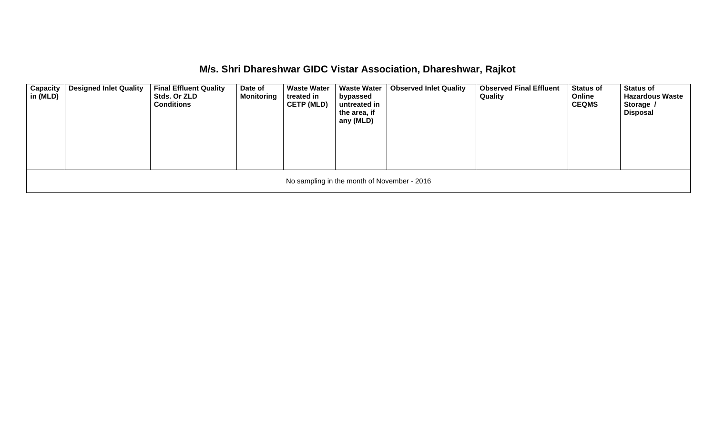#### **M/s. Shri Dhareshwar GIDC Vistar Association, Dhareshwar, Rajkot**

| Capacity<br>in (MLD)                        | <b>Designed Inlet Quality</b> | <b>Final Effluent Quality</b><br>Stds. Or ZLD<br><b>Conditions</b> | Date of<br><b>Monitoring</b> | <b>Waste Water</b><br>treated in<br><b>CETP (MLD)</b> | <b>Waste Water</b><br>bypassed<br>untreated in<br>the area, if<br>any (MLD) | <b>Observed Inlet Quality</b> | <b>Observed Final Effluent</b><br>Quality | <b>Status of</b><br>Online<br><b>CEQMS</b> | <b>Status of</b><br><b>Hazardous Waste</b><br>Storage /<br><b>Disposal</b> |  |  |  |  |
|---------------------------------------------|-------------------------------|--------------------------------------------------------------------|------------------------------|-------------------------------------------------------|-----------------------------------------------------------------------------|-------------------------------|-------------------------------------------|--------------------------------------------|----------------------------------------------------------------------------|--|--|--|--|
| No sampling in the month of November - 2016 |                               |                                                                    |                              |                                                       |                                                                             |                               |                                           |                                            |                                                                            |  |  |  |  |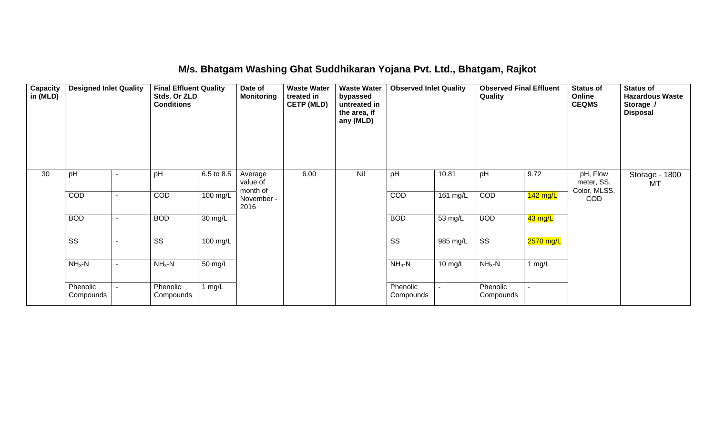#### **M/s. Bhatgam Washing Ghat Suddhikaran Yojana Pvt. Ltd., Bhatgam, Rajkot**

| Capacity<br>in (MLD) | <b>Designed Inlet Quality</b> |  | <b>Final Effluent Quality</b><br>Stds. Or ZLD<br><b>Conditions</b> |                    | Date of<br><b>Monitoring</b>                          | <b>Waste Water</b><br>treated in<br><b>CETP (MLD)</b> | <b>Waste Water</b><br>bypassed<br>untreated in<br>the area, if<br>any (MLD) | <b>Observed Inlet Quality</b> |           | <b>Observed Final Effluent</b><br>Quality |             | <b>Status of</b><br>Online<br><b>CEQMS</b>    | <b>Status of</b><br><b>Hazardous Waste</b><br>Storage /<br><b>Disposal</b> |
|----------------------|-------------------------------|--|--------------------------------------------------------------------|--------------------|-------------------------------------------------------|-------------------------------------------------------|-----------------------------------------------------------------------------|-------------------------------|-----------|-------------------------------------------|-------------|-----------------------------------------------|----------------------------------------------------------------------------|
| 30                   | pH                            |  | pH                                                                 | 6.5 to 8.5         | Average<br>value of<br>month of<br>November -<br>2016 | 6.00                                                  | Nil                                                                         | pH                            | 10.81     | pH                                        | 9.72        | pH, Flow<br>meter, SS,<br>Color, MLSS,<br>COD | Storage - 1800<br>MT                                                       |
|                      | COD                           |  | COD                                                                | 100 mg/L           |                                                       |                                                       |                                                                             | COD                           | 161 mg/L  | COD                                       | $142$ mg/L  |                                               |                                                                            |
|                      | <b>BOD</b>                    |  | <b>BOD</b>                                                         | 30 mg/L            |                                                       |                                                       |                                                                             | <b>BOD</b>                    | 53 mg/L   | <b>BOD</b>                                | 43 mg/L     |                                               |                                                                            |
|                      | $\overline{\text{ss}}$        |  | $\overline{\text{ss}}$                                             | $100 \text{ mg/L}$ |                                                       |                                                       |                                                                             | $\overline{\text{ss}}$        | 985 mg/L  | $\overline{\text{ss}}$                    | $2570$ mg/L |                                               |                                                                            |
|                      | $NH3-N$                       |  | $NH3 - N$                                                          | 50 mg/L            |                                                       |                                                       |                                                                             | $NH3-N$                       | $10$ mg/L | $NH3$ -N                                  | 1 $mg/L$    |                                               |                                                                            |
|                      | Phenolic<br>Compounds         |  | Phenolic<br>Compounds                                              | 1 mg/L             |                                                       |                                                       |                                                                             | Phenolic<br>Compounds         |           | Phenolic<br>Compounds                     |             |                                               |                                                                            |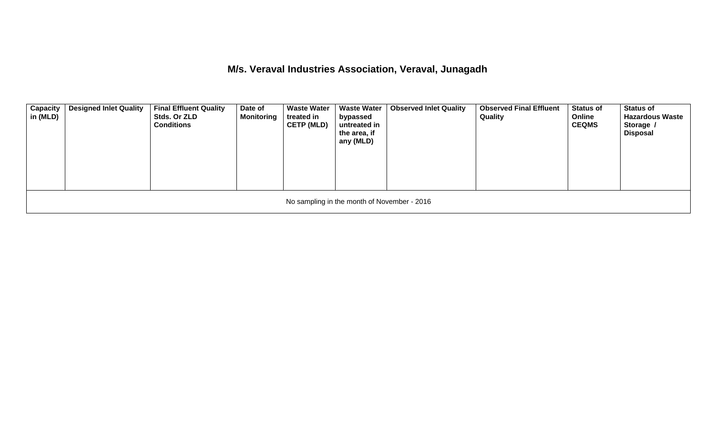**M/s. Veraval Industries Association, Veraval, Junagadh** 

| Capacity<br>in (MLD)                        | <b>Designed Inlet Quality</b> | <b>Final Effluent Quality</b><br>Stds. Or ZLD<br><b>Conditions</b> | Date of<br><b>Monitoring</b> | <b>Waste Water</b><br>treated in<br><b>CETP (MLD)</b> | <b>Waste Water</b><br>bypassed<br>untreated in<br>the area, if<br>any (MLD) | <b>Observed Inlet Quality</b> | <b>Observed Final Effluent</b><br>Quality | <b>Status of</b><br>Online<br><b>CEQMS</b> | <b>Status of</b><br><b>Hazardous Waste</b><br>Storage /<br><b>Disposal</b> |  |  |  |
|---------------------------------------------|-------------------------------|--------------------------------------------------------------------|------------------------------|-------------------------------------------------------|-----------------------------------------------------------------------------|-------------------------------|-------------------------------------------|--------------------------------------------|----------------------------------------------------------------------------|--|--|--|
| No sampling in the month of November - 2016 |                               |                                                                    |                              |                                                       |                                                                             |                               |                                           |                                            |                                                                            |  |  |  |